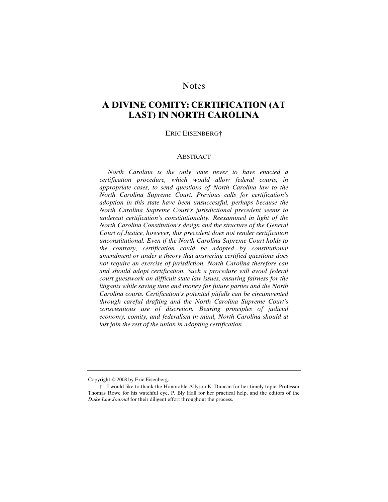# **Notes**

# **A DIVINE COMITY: CERTIFICATION (AT LAST) IN NORTH CAROLINA**

#### ERIC EISENBERG†

### ABSTRACT

 *North Carolina is the only state never to have enacted a certification procedure, which would allow federal courts, in appropriate cases, to send questions of North Carolina law to the North Carolina Supreme Court. Previous calls for certification's adoption in this state have been unsuccessful, perhaps because the North Carolina Supreme Court's jurisdictional precedent seems to undercut certification's constitutionality. Reexamined in light of the North Carolina Constitution's design and the structure of the General Court of Justice, however, this precedent does not render certification unconstitutional. Even if the North Carolina Supreme Court holds to the contrary, certification could be adopted by constitutional amendment or under a theory that answering certified questions does not require an exercise of jurisdiction. North Carolina therefore can and should adopt certification. Such a procedure will avoid federal court guesswork on difficult state law issues, ensuring fairness for the litigants while saving time and money for future parties and the North Carolina courts. Certification's potential pitfalls can be circumvented through careful drafting and the North Carolina Supreme Court's conscientious use of discretion. Bearing principles of judicial economy, comity, and federalism in mind, North Carolina should at last join the rest of the union in adopting certification.* 

Copyright © 2008 by Eric Eisenberg.

 <sup>†</sup> I would like to thank the Honorable Allyson K. Duncan for her timely topic, Professor Thomas Rowe for his watchful eye, P. Bly Hall for her practical help, and the editors of the *Duke Law Journal* for their diligent effort throughout the process.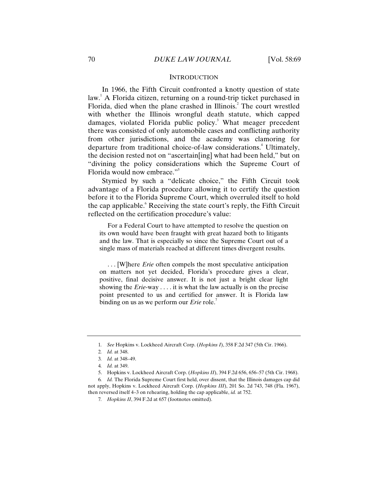### **INTRODUCTION**

In 1966, the Fifth Circuit confronted a knotty question of state law.<sup>1</sup> A Florida citizen, returning on a round-trip ticket purchased in Florida, died when the plane crashed in Illinois.<sup>2</sup> The court wrestled with whether the Illinois wrongful death statute, which capped damages, violated Florida public policy.<sup>3</sup> What meager precedent there was consisted of only automobile cases and conflicting authority from other jurisdictions, and the academy was clamoring for departure from traditional choice-of-law considerations.<sup>4</sup> Ultimately, the decision rested not on "ascertain[ing] what had been held," but on "divining the policy considerations which the Supreme Court of Florida would now embrace."5

Stymied by such a "delicate choice," the Fifth Circuit took advantage of a Florida procedure allowing it to certify the question before it to the Florida Supreme Court, which overruled itself to hold the cap applicable. Receiving the state court's reply, the Fifth Circuit reflected on the certification procedure's value:

 For a Federal Court to have attempted to resolve the question on its own would have been fraught with great hazard both to litigants and the law. That is especially so since the Supreme Court out of a single mass of materials reached at different times divergent results.

 . . . [W]here *Erie* often compels the most speculative anticipation on matters not yet decided, Florida's procedure gives a clear, positive, final decisive answer. It is not just a bright clear light showing the *Erie*-way . . . . it is what the law actually is on the precise point presented to us and certified for answer. It is Florida law binding on us as we perform our *Erie* role.<sup>7</sup>

<sup>1</sup>*. See* Hopkins v. Lockheed Aircraft Corp. (*Hopkins I*), 358 F.2d 347 (5th Cir. 1966).

<sup>2</sup>*. Id.* at 348.

<sup>3</sup>*. Id.* at 348–49.

<sup>4</sup>*. Id.* at 349.

 <sup>5.</sup> Hopkins v. Lockheed Aircraft Corp. (*Hopkins II*), 394 F.2d 656, 656–57 (5th Cir. 1968).

<sup>6</sup>*. Id.* The Florida Supreme Court first held, over dissent, that the Illinois damages cap did not apply, Hopkins v. Lockheed Aircraft Corp. (*Hopkins III*), 201 So. 2d 743, 748 (Fla. 1967), then reversed itself 4–3 on rehearing, holding the cap applicable, *id.* at 752.

<sup>7</sup>*. Hopkins II*, 394 F.2d at 657 (footnotes omitted).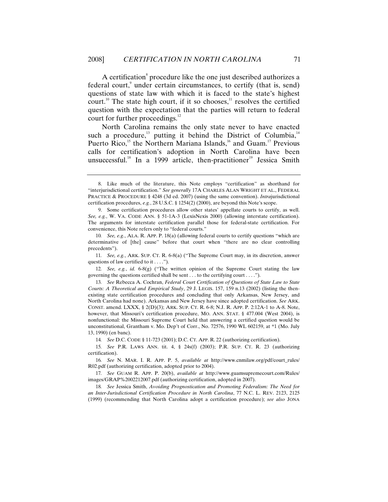A certification<sup>8</sup> procedure like the one just described authorizes a federal court,<sup>9</sup> under certain circumstances, to certify (that is, send) questions of state law with which it is faced to the state's highest court.<sup>10</sup> The state high court, if it so chooses,<sup>11</sup> resolves the certified question with the expectation that the parties will return to federal court for further proceedings.<sup>12</sup>

North Carolina remains the only state never to have enacted such a procedure,<sup>13</sup> putting it behind the District of Columbia,<sup>14</sup> Puerto Rico,<sup>15</sup> the Northern Mariana Islands,<sup>16</sup> and Guam.<sup>17</sup> Previous calls for certification's adoption in North Carolina have been unsuccessful.<sup>18</sup> In a 1999 article, then-practitioner<sup>19</sup> Jessica Smith

14*. See* D.C. CODE § 11-723 (2001); D.C. CT. APP. R. 22 (authorizing certification).

 <sup>8.</sup> Like much of the literature, this Note employs "certification" as shorthand for "interjurisdictional certification." *See generally* 17A CHARLES ALAN WRIGHT ET AL., FEDERAL PRACTICE & PROCEDURE § 4248 (3d ed. 2007) (using the same convention). *Intra*jurisdictional certification procedures, *e.g.*, 28 U.S.C. § 1254(2) (2000), are beyond this Note's scope.

 <sup>9.</sup> Some certification procedures allow other states' appellate courts to certify, as well. *See, e.g.*, W. VA. CODE ANN. § 51-1A-3 (LexisNexis 2000) (allowing interstate certification). The arguments for interstate certification parallel those for federal-state certification. For convenience, this Note refers only to "federal courts."

<sup>10</sup>*. See, e.g.*, ALA. R. APP. P. 18(a) (allowing federal courts to certify questions "which are determinative of [the] cause" before that court when "there are no clear controlling precedents").

<sup>11</sup>*. See, e.g.*, ARK. SUP. CT. R. 6-8(a) ("The Supreme Court may, in its discretion, answer questions of law certified to it . . . .").

<sup>12</sup>*. See, e.g.*, *id.* 6-8(g) ("The written opinion of the Supreme Court stating the law governing the questions certified shall be sent . . . to the certifying court . . . .").

<sup>13</sup>*. See* Rebecca A. Cochran, *Federal Court Certification of Questions of State Law to State Courts: A Theoretical and Empirical Study*, 29 J. LEGIS. 157, 159 n.13 (2002) (listing the thenexisting state certification procedures and concluding that only Arkansas, New Jersey, and North Carolina had none). Arkansas and New Jersey have since adopted certification. *See* ARK. CONST. amend. LXXX, § 2(D)(3); ARK. SUP. CT. R. 6-8; N.J. R. APP. P. 2:12A-1 to A-8. Note, however, that Missouri's certification procedure, MO. ANN. STAT. § 477.004 (West 2004), is nonfunctional: the Missouri Supreme Court held that answering a certified question would be unconstitutional, Grantham v. Mo. Dep't of Corr., No. 72576, 1990 WL 602159, at \*1 (Mo. July 13, 1990) (en banc).

<sup>15</sup>*. See* P.R. LAWS ANN. tit. 4, § 24s(f) (2003); P.R. SUP. CT. R. 23 (authorizing certification).

<sup>16</sup>*. See* N. MAR. I. R. APP. P. 5, *available at* http://www.cnmilaw.org/pdf/court\_rules/ R02.pdf (authorizing certification, adopted prior to 2004).

<sup>17</sup>*. See* GUAM R. APP. P. 20(b), *available at* http://www.guamsupremecourt.com/Rules/ images/GRAP%2002212007.pdf (authorizing certification, adopted in 2007).

<sup>18</sup>*. See* Jessica Smith, *Avoiding Prognostication and Promoting Federalism: The Need for an Inter-Jurisdictional Certification Procedure in North Carolina*, 77 N.C. L. REV. 2123, 2125 (1999) (recommending that North Carolina adopt a certification procedure); *see also* JONA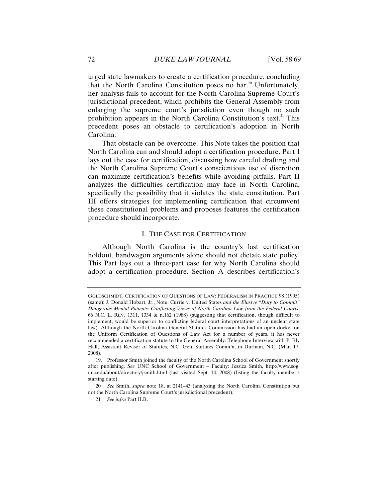urged state lawmakers to create a certification procedure, concluding that the North Carolina Constitution poses no bar.<sup>20</sup> Unfortunately, her analysis fails to account for the North Carolina Supreme Court's jurisdictional precedent, which prohibits the General Assembly from enlarging the supreme court's jurisdiction even though no such prohibition appears in the North Carolina Constitution's text.<sup>21</sup> This precedent poses an obstacle to certification's adoption in North Carolina.

That obstacle can be overcome. This Note takes the position that North Carolina can and should adopt a certification procedure. Part I lays out the case for certification, discussing how careful drafting and the North Carolina Supreme Court's conscientious use of discretion can maximize certification's benefits while avoiding pitfalls. Part II analyzes the difficulties certification may face in North Carolina, specifically the possibility that it violates the state constitution. Part III offers strategies for implementing certification that circumvent these constitutional problems and proposes features the certification procedure should incorporate.

### I. THE CASE FOR CERTIFICATION

Although North Carolina is the country's last certification holdout, bandwagon arguments alone should not dictate state policy. This Part lays out a three-part case for why North Carolina should adopt a certification procedure. Section A describes certification's

GOLDSCHMIDT, CERTIFICATION OF QUESTIONS OF LAW: FEDERALISM IN PRACTICE 98 (1995) (same); J. Donald Hobart, Jr., Note, Currie v. United States *and the Elusive "Duty to Commit" Dangerous Mental Patients: Conflicting Views of North Carolina Law from the Federal Courts*, 66 N.C. L. REV. 1311, 1334  $\&$  n.162 (1988) (suggesting that certification, though difficult to implement, would be superior to conflicting federal court interpretations of an unclear state law). Although the North Carolina General Statutes Commission has had an open docket on the Uniform Certification of Questions of Law Act for a number of years, it has never recommended a certification statute to the General Assembly. Telephone Interview with P. Bly Hall, Assistant Reviser of Statutes, N.C. Gen. Statutes Comm'n, in Durham, N.C. (Mar. 17, 2008).

 <sup>19.</sup> Professor Smith joined the faculty of the North Carolina School of Government shortly after publishing. *See* UNC School of Government – Faculty: Jessica Smith, http://www.sog. unc.edu/about/directory/jsmith.html (last visited Sept. 14, 2008) (listing the faculty member's starting date).

<sup>20</sup>*. See* Smith, *supra* note 18, at 2141–43 (analyzing the North Carolina Constitution but not the North Carolina Supreme Court's jurisdictional precedent).

<sup>21</sup>*. See infra* Part II.B.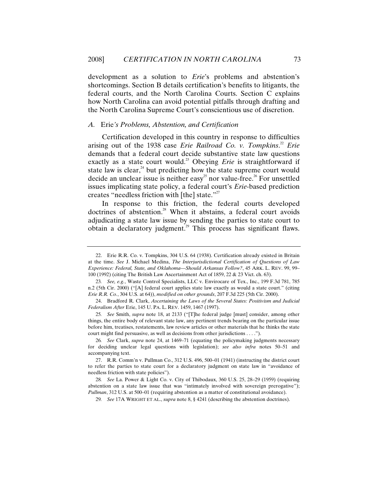development as a solution to *Erie*'s problems and abstention's shortcomings. Section B details certification's benefits to litigants, the federal courts, and the North Carolina Courts. Section C explains how North Carolina can avoid potential pitfalls through drafting and the North Carolina Supreme Court's conscientious use of discretion.

### *A.* Erie*'s Problems, Abstention, and Certification*

Certification developed in this country in response to difficulties arising out of the 1938 case *Erie Railroad Co. v. Tompkins*. <sup>22</sup> *Erie* demands that a federal court decide substantive state law questions exactly as a state court would.<sup>23</sup> Obeying *Erie* is straightforward if state law is clear, $^{24}$  but predicting how the state supreme court would decide an unclear issue is neither easy<sup>25</sup> nor value-free.<sup>26</sup> For unsettled issues implicating state policy, a federal court's *Erie*-based prediction creates "needless friction with [the] state."<sup>27</sup>

In response to this friction, the federal courts developed doctrines of abstention.<sup>28</sup> When it abstains, a federal court avoids adjudicating a state law issue by sending the parties to state court to obtain a declaratory judgment.<sup>29</sup> This process has significant flaws.

 <sup>22.</sup> Erie R.R. Co. v. Tompkins, 304 U.S. 64 (1938). Certification already existed in Britain at the time. *See* J. Michael Medina, *The Interjurisdictional Certification of Questions of Law Experience: Federal, State, and Oklahoma—Should Arkansas Follow?*, 45 ARK. L. REV. 99, 99– 100 (1992) (citing The British Law Ascertainment Act of 1859, 22 & 23 Vict. ch. 63).

<sup>23</sup>*. See, e.g.*, Waste Control Specialists, LLC v. Envirocare of Tex., Inc., 199 F.3d 781, 785 n.2 (5th Cir. 2000) ("[A] federal court applies state law exactly as would a state court." (citing *Erie R.R. Co.*, 304 U.S. at 64)), *modified on other grounds*, 207 F.3d 225 (5th Cir. 2000).

 <sup>24.</sup> Bradford R. Clark, *Ascertaining the Laws of the Several States: Positivism and Judicial Federalism After* Erie, 145 U. PA. L. REV. 1459, 1467 (1997).

<sup>25</sup>*. See* Smith, *supra* note 18, at 2133 ("[T]he federal judge [must] consider, among other things, the entire body of relevant state law, any pertinent trends bearing on the particular issue before him, treatises, restatements, law review articles or other materials that he thinks the state court might find persuasive, as well as decisions from other jurisdictions . . . .").

<sup>26</sup>*. See* Clark, *supra* note 24, at 1469–71 (equating the policymaking judgments necessary for deciding unclear legal questions with legislation); *see also infra* notes 50–51 and accompanying text.

 <sup>27.</sup> R.R. Comm'n v. Pullman Co., 312 U.S. 496, 500–01 (1941) (instructing the district court to refer the parties to state court for a declaratory judgment on state law in "avoidance of needless friction with state policies").

<sup>28</sup>*. See* La. Power & Light Co. v. City of Thibodaux, 360 U.S. 25, 28–29 (1959) (requiring abstention on a state law issue that was "intimately involved with sovereign prerogative"); *Pullman*, 312 U.S. at 500–01 (requiring abstention as a matter of constitutional avoidance).

<sup>29</sup>*. See* 17A WRIGHT ET AL., *supra* note 8, § 4241 (describing the abstention doctrines).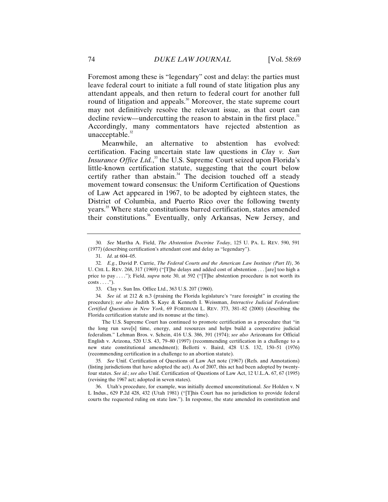Foremost among these is "legendary" cost and delay: the parties must leave federal court to initiate a full round of state litigation plus any attendant appeals, and then return to federal court for another full round of litigation and appeals.<sup>30</sup> Moreover, the state supreme court may not definitively resolve the relevant issue, as that court can decline review—undercutting the reason to abstain in the first place.<sup>31</sup> Accordingly, many commentators have rejected abstention as unacceptable.<sup>32</sup>

Meanwhile, an alternative to abstention has evolved: certification. Facing uncertain state law questions in *Clay v. Sun Insurance Office Ltd.*,<sup>33</sup> the U.S. Supreme Court seized upon Florida's little-known certification statute, suggesting that the court below certify rather than abstain.<sup>34</sup> The decision touched off a steady movement toward consensus: the Uniform Certification of Questions of Law Act appeared in 1967, to be adopted by eighteen states, the District of Columbia, and Puerto Rico over the following twenty years.35 Where state constitutions barred certification, states amended their constitutions.<sup>36</sup> Eventually, only Arkansas, New Jersey, and

33. Clay v. Sun Ins. Office Ltd., 363 U.S. 207 (1960).

34*. See id.* at 212 & n.3 (praising the Florida legislature's "rare foresight" in creating the procedure); *see also* Judith S. Kaye & Kenneth I. Weissman, *Interactive Judicial Federalism: Certified Questions in New York*, 69 FORDHAM L. REV. 373, 381–82 (2000) (describing the Florida certification statute and its nonuse at the time).

The U.S. Supreme Court has continued to promote certification as a procedure that "in the long run save[s] time, energy, and resources and helps build a cooperative judicial federalism." Lehman Bros. v. Schein, 416 U.S. 386, 391 (1974); *see also* Arizonans for Official English v. Arizona, 520 U.S. 43, 79–80 (1997) (recommending certification in a challenge to a new state constitutional amendment); Bellotti v. Baird, 428 U.S. 132, 150–51 (1976) (recommending certification in a challenge to an abortion statute).

35*. See* Unif. Certification of Questions of Law Act note (1967) (Refs. and Annotations) (listing jurisdictions that have adopted the act). As of 2007, this act had been adopted by twentyfour states. *See id.*; *see also* Unif. Certification of Questions of Law Act, 12 U.L.A. 67, 67 (1995) (revising the 1967 act; adopted in seven states).

 36. Utah's procedure, for example, was initially deemed unconstitutional. *See* Holden v. N L Indus., 629 P.2d 428, 432 (Utah 1981) ("[T]his Court has no jurisdiction to provide federal courts the requested ruling on state law."). In response, the state amended its constitution and

<sup>30</sup>*. See* Martha A. Field, *The Abstention Doctrine Today*, 125 U. PA. L. REV. 590, 591 (1977) (describing certification's attendant cost and delay as "legendary").

<sup>31</sup>*. Id*. at 604–05.

<sup>32</sup>*. E.g.*, David P. Currie, *The Federal Courts and the American Law Institute (Part II)*, 36 U. CHI. L. REV. 268, 317 (1969) ("[T]he delays and added cost of abstention . . . [are] too high a price to pay . . . . "); Field, *supra* note 30, at 592 ("[T]he abstention procedure is not worth its  $costs \ldots$ ").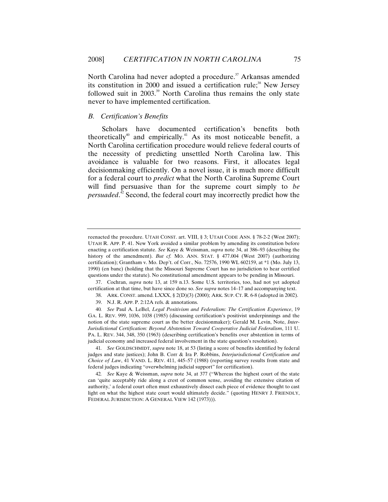North Carolina had never adopted a procedure.<sup>37</sup> Arkansas amended its constitution in 2000 and issued a certification rule; $38$  New Jersey followed suit in 2003.<sup>39</sup> North Carolina thus remains the only state never to have implemented certification.

### *B. Certification's Benefits*

Scholars have documented certification's benefits both theoretically<sup>40</sup> and empirically.<sup>41</sup> As its most noticeable benefit, a North Carolina certification procedure would relieve federal courts of the necessity of predicting unsettled North Carolina law. This avoidance is valuable for two reasons. First, it allocates legal decisionmaking efficiently. On a novel issue, it is much more difficult for a federal court to *predict* what the North Carolina Supreme Court will find persuasive than for the supreme court simply to *be persuaded*. 42 Second, the federal court may incorrectly predict how the

 37. Cochran, *supra* note 13, at 159 n.13. Some U.S. territories, too, had not yet adopted certification at that time, but have since done so. *See supra* notes 14–17 and accompanying text.

reenacted the procedure. UTAH CONST. art. VIII, § 3; UTAH CODE ANN. § 78-2-2 (West 2007); UTAH R. APP. P. 41. New York avoided a similar problem by amending its constitution before enacting a certification statute. *See* Kaye & Weissman, *supra* note 34, at 386–93 (describing the history of the amendment). *But cf.* MO. ANN. STAT. § 477.004 (West 2007) (authorizing certification); Grantham v. Mo. Dep't. of Corr., No. 72576, 1990 WL 602159, at \*1 (Mo. July 13, 1990) (en banc) (holding that the Missouri Supreme Court has no jurisdiction to hear certified questions under the statute). No constitutional amendment appears to be pending in Missouri.

 <sup>38.</sup> ARK. CONST. amend. LXXX, § 2(D)(3) (2000); ARK. SUP. CT. R. 6-8 (adopted in 2002).

 <sup>39.</sup> N.J. R. APP. P. 2:12A refs. & annotations.

<sup>40</sup>*. See* Paul A. LeBel, *Legal Positivism and Federalism: The Certification Experience*, 19 GA. L. REV. 999, 1036, 1038 (1985) (discussing certification's positivist underpinnings and the notion of the state supreme court as the better decisionmaker); Gerald M. Levin, Note, *Inter-Jurisdictional Certification: Beyond Abstention Toward Cooperative Judicial Federalism*, 111 U. PA. L. REV. 344, 348, 350 (1963) (describing certification's benefits over abstention in terms of judicial economy and increased federal involvement in the state question's resolution).

<sup>41</sup>*. See* GOLDSCHMIDT, *supra* note 18, at 53 (listing a score of benefits identified by federal judges and state justices); John B. Corr & Ira P. Robbins, *Interjurisdictional Certification and Choice of Law*, 41 VAND. L. REV. 411, 445–57 (1988) (reporting survey results from state and federal judges indicating "overwhelming judicial support" for certification).

<sup>42</sup>*. See* Kaye & Weissman, *supra* note 34, at 377 ("Whereas the highest court of the state can 'quite acceptably ride along a crest of common sense, avoiding the extensive citation of authority,' a federal court often must exhaustively dissect each piece of evidence thought to cast light on what the highest state court would ultimately decide." (quoting HENRY J. FRIENDLY, FEDERAL JURISDICTION: A GENERAL VIEW 142 (1973))).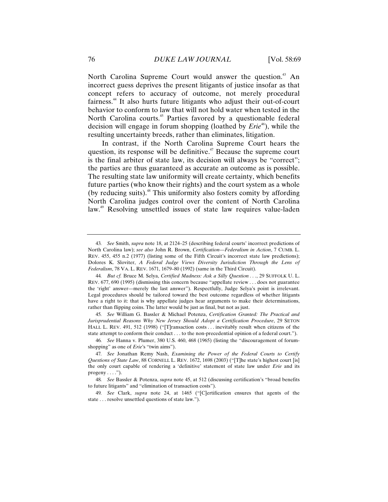North Carolina Supreme Court would answer the question.<sup>43</sup> An incorrect guess deprives the present litigants of justice insofar as that concept refers to accuracy of outcome, not merely procedural fairness.44 It also hurts future litigants who adjust their out-of-court behavior to conform to law that will not hold water when tested in the North Carolina courts.<sup>45</sup> Parties favored by a questionable federal decision will engage in forum shopping (loathed by *Erie*<sup>46</sup>), while the resulting uncertainty breeds, rather than eliminates, litigation.

In contrast, if the North Carolina Supreme Court hears the question, its response will be definitive.<sup> $47$ </sup> Because the supreme court is the final arbiter of state law, its decision will always be "correct"; the parties are thus guaranteed as accurate an outcome as is possible. The resulting state law uniformity will create certainty, which benefits future parties (who know their rights) and the court system as a whole (by reducing suits). $48$  This uniformity also fosters comity by affording North Carolina judges control over the content of North Carolina law.<sup>49</sup> Resolving unsettled issues of state law requires value-laden

45*. See* William G. Bassler & Michael Potenza, *Certification Granted: The Practical and Jurisprudential Reasons Why New Jersey Should Adopt a Certification Procedure*, 29 SETON HALL L. REV. 491, 512 (1998) ("[T]ransaction costs . . . inevitably result when citizens of the state attempt to conform their conduct . . . to the non-precedential opinion of a federal court.").

<sup>43</sup>*. See* Smith, *supra* note 18, at 2124–25 (describing federal courts' incorrect predictions of North Carolina law); *see also* John R. Brown, *Certification—Federalism in Action*, 7 CUMB. L. REV. 455, 455 n.2 (1977) (listing some of the Fifth Circuit's incorrect state law predictions); Dolores K. Sloviter, *A Federal Judge Views Diversity Jurisdiction Through the Lens of Federalism*, 78 VA. L. REV. 1671, 1679–80 (1992) (same in the Third Circuit).

<sup>44</sup>*. But cf.* Bruce M. Selya, *Certified Madness: Ask a Silly Question . . .*, 29 SUFFOLK U. L. REV. 677, 690 (1995) (dismissing this concern because "appellate review . . . does not guarantee the 'right' answer—merely the last answer"). Respectfully, Judge Selya's point is irrelevant. Legal procedures should be tailored toward the best outcome regardless of whether litigants have a right to it: that is why appellate judges hear arguments to make their determinations, rather than flipping coins. The latter would be just as final, but not as just.

<sup>46</sup>*. See* Hanna v. Plumer, 380 U.S. 460, 468 (1965) (listing the "discouragement of forumshopping" as one of *Erie*'s "twin aims").

<sup>47</sup>*. See* Jonathan Remy Nash, *Examining the Power of the Federal Courts to Certify Questions of State Law*, 88 CORNELL L. REV. 1672, 1698 (2003) ("[T]he state's highest court [is] the only court capable of rendering a 'definitive' statement of state law under *Erie* and its progeny  $\dots$ .").

<sup>48</sup>*. See* Bassler & Potenza, *supra* note 45, at 512 (discussing certification's "broad benefits to future litigants" and "elimination of transaction costs").

<sup>49</sup>*. See* Clark, *supra* note 24, at 1465 ("[C]ertification ensures that agents of the state . . . resolve unsettled questions of state law.").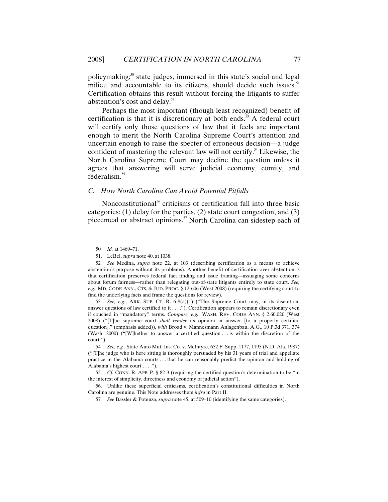policymaking;<sup>50</sup> state judges, immersed in this state's social and legal milieu and accountable to its citizens, should decide such issues.<sup>51</sup> Certification obtains this result without forcing the litigants to suffer abstention's cost and delay.<sup>52</sup>

Perhaps the most important (though least recognized) benefit of certification is that it is discretionary at both ends.<sup>53</sup> A federal court will certify only those questions of law that it feels are important enough to merit the North Carolina Supreme Court's attention and uncertain enough to raise the specter of erroneous decision—a judge confident of mastering the relevant law will not certify.<sup>54</sup> Likewise, the North Carolina Supreme Court may decline the question unless it agrees that answering will serve judicial economy, comity, and federalism.<sup>55</sup>

### *C. How North Carolina Can Avoid Potential Pitfalls*

Nonconstitutional<sup>56</sup> criticisms of certification fall into three basic categories: (1) delay for the parties, (2) state court congestion, and (3) piecemeal or abstract opinions.<sup>57</sup> North Carolina can sidestep each of

53*. See, e.g.*, ARK. SUP. CT. R. 6-8(a)(1) ("The Supreme Court may, in its discretion, answer questions of law certified to it  $\dots$ "). Certification appears to remain discretionary even if couched in "mandatory" terms. *Compare, e.g.*, WASH. REV. CODE ANN. § 2.60.020 (West 2008) ("[T]he supreme court *shall render* its opinion in answer [to a properly certified question]." (emphasis added)), *with* Broad v. Mannesmann Anlagenbau, A.G., 10 P.3d 371, 374 (Wash. 2000) ("[W]hether to answer a certified question . . . is within the discretion of the court.").

<sup>50</sup>*. Id.* at 1469–71.

 <sup>51.</sup> LeBel, *supra* note 40, at 1038.

<sup>52</sup>*. See* Medina, *supra* note 22, at 103 (describing certification as a means to achieve abstention's purpose without its problems). Another benefit of certification over abstention is that certification preserves federal fact finding and issue framing—assuaging some concerns about forum fairness—rather than relegating out-of-state litigants entirely to state court. *See, e.g.*, MD. CODE ANN., CTS. & JUD. PROC. § 12-606 (West 2008) (requiring the certifying court to find the underlying facts and frame the questions for review).

<sup>54</sup>*. See, e.g.*, State Auto Mut. Ins. Co. v. McIntyre, 652 F. Supp. 1177, 1195 (N.D. Ala. 1987) ("[T]he judge who is here sitting is thoroughly persuaded by his 31 years of trial and appellate practice in the Alabama courts . . . that he can reasonably predict the opinion and holding of Alabama's highest court . . . .").

<sup>55</sup>*. Cf.* CONN. R. APP. P. § 82-3 (requiring the certified question's determination to be "in the interest of simplicity, directness and economy of judicial action").

 <sup>56.</sup> Unlike these superficial criticisms, certification's constitutional difficulties in North Carolina are genuine. This Note addresses them *infra* in Part II.

<sup>57</sup>*. See* Bassler & Potenza, *supra* note 45, at 509–10 (identifying the same categories).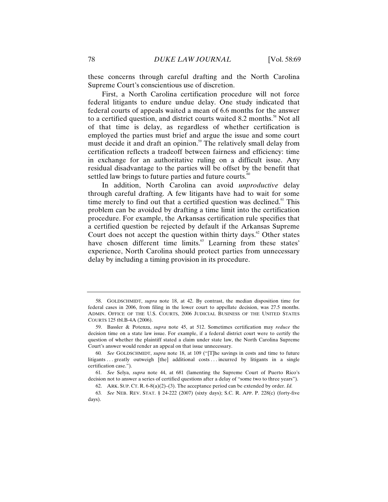these concerns through careful drafting and the North Carolina Supreme Court's conscientious use of discretion.

First, a North Carolina certification procedure will not force federal litigants to endure undue delay. One study indicated that federal courts of appeals waited a mean of 6.6 months for the answer to a certified question, and district courts waited 8.2 months.<sup>58</sup> Not all of that time is delay, as regardless of whether certification is employed the parties must brief and argue the issue and some court must decide it and draft an opinion.<sup>59</sup> The relatively small delay from certification reflects a tradeoff between fairness and efficiency: time in exchange for an authoritative ruling on a difficult issue. Any residual disadvantage to the parties will be offset by the benefit that settled law brings to future parties and future courts.<sup>60</sup>

In addition, North Carolina can avoid *unproductive* delay through careful drafting. A few litigants have had to wait for some time merely to find out that a certified question was declined.<sup>61</sup> This problem can be avoided by drafting a time limit into the certification procedure. For example, the Arkansas certification rule specifies that a certified question be rejected by default if the Arkansas Supreme Court does not accept the question within thirty days.<sup>62</sup> Other states have chosen different time limits.<sup>63</sup> Learning from these states' experience, North Carolina should protect parties from unnecessary delay by including a timing provision in its procedure.

 <sup>58.</sup> GOLDSCHMIDT, *supra* note 18, at 42. By contrast, the median disposition time for federal cases in 2006, from filing in the lower court to appellate decision, was 27.5 months. ADMIN. OFFICE OF THE U.S. COURTS, 2006 JUDICIAL BUSINESS OF THE UNITED STATES COURTS 125 tbl.B-4A (2006).

 <sup>59.</sup> Bassler & Potenza, *supra* note 45, at 512. Sometimes certification may *reduce* the decision time on a state law issue. For example, if a federal district court were to certify the question of whether the plaintiff stated a claim under state law, the North Carolina Supreme Court's answer would render an appeal on that issue unnecessary.

<sup>60</sup>*. See* GOLDSCHMIDT, *supra* note 18, at 109 ("[T]he savings in costs and time to future litigants . . . greatly outweigh [the] additional costs . . . incurred by litigants in a single certification case.").

<sup>61</sup>*. See* Selya, *supra* note 44, at 681 (lamenting the Supreme Court of Puerto Rico's decision not to answer a series of certified questions after a delay of "some two to three years").

 <sup>62.</sup> ARK. SUP. CT. R. 6-8(a)(2)–(3). The acceptance period can be extended by order. *Id.*

<sup>63</sup>*. See* NEB. REV. STAT. § 24-222 (2007) (sixty days); S.C. R. APP. P. 228(c) (forty-five days).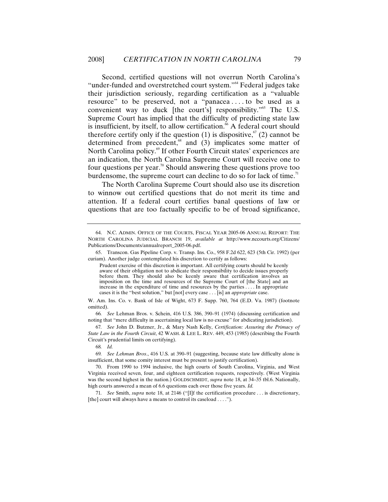Second, certified questions will not overrun North Carolina's "under-funded and overstretched court system."64 Federal judges take their jurisdiction seriously, regarding certification as a "valuable resource" to be preserved, not a "panacea . . . . to be used as a convenient way to duck [the court's] responsibility."<sup>65</sup> The U.S. Supreme Court has implied that the difficulty of predicting state law is insufficient, by itself, to allow certification.<sup>66</sup> A federal court should therefore certify only if the question (1) is dispositive,<sup> $\sigma$ </sup> (2) cannot be determined from precedent, $68$  and (3) implicates some matter of North Carolina policy.<sup>69</sup> If other Fourth Circuit states' experiences are an indication, the North Carolina Supreme Court will receive one to four questions per year.<sup>70</sup> Should answering these questions prove too burdensome, the supreme court can decline to do so for lack of time.<sup> $n$ </sup>

The North Carolina Supreme Court should also use its discretion to winnow out certified questions that do not merit its time and attention. If a federal court certifies banal questions of law or questions that are too factually specific to be of broad significance,

66*. See* Lehman Bros. v. Schein, 416 U.S. 386, 390–91 (1974) (discussing certification and noting that "mere difficulty in ascertaining local law is no excuse" for abdicating jurisdiction).

67*. See* John D. Butzner, Jr., & Mary Nash Kelly, *Certification: Assuring the Primacy of State Law in the Fourth Circuit*, 42 WASH. & LEE L. REV. 449, 453 (1985) (describing the Fourth Circuit's prudential limits on certifying).

68*. Id.*

69*. See Lehman Bros*., 416 U.S. at 390–91 (suggesting, because state law difficulty alone is insufficient, that some comity interest must be present to justify certification).

71*. See* Smith, *supra* note 18, at 2146 ("[I]f the certification procedure . . . is discretionary, [the] court will always have a means to control its caseload . . . .").

 <sup>64.</sup> N.C. ADMIN. OFFICE OF THE COURTS, FISCAL YEAR 2005-06 ANNUAL REPORT: THE NORTH CAROLINA JUDICIAL BRANCH 19, *available at* http://www.nccourts.org/Citizens/ Publications/Documents/annualreport\_2005-06.pdf.

 <sup>65.</sup> Transcon. Gas Pipeline Corp. v. Transp. Ins. Co., 958 F.2d 622, 623 (5th Cir. 1992) (per curiam). Another judge contemplated his discretion to certify as follows:

Prudent exercise of this discretion is important. All certifying courts should be keenly aware of their obligation not to abdicate their responsibility to decide issues properly before them. They should also be keenly aware that certification involves an imposition on the time and resources of the Supreme Court of [the State] and an increase in the expenditure of time and resources by the parties . . . . In appropriate cases it is the "best solution," but [not] every case . . . [is] an *appropriate* case.

W. Am. Ins. Co. v. Bank of Isle of Wight, 673 F. Supp. 760, 764 (E.D. Va. 1987) (footnote omitted).

 <sup>70.</sup> From 1990 to 1994 inclusive, the high courts of South Carolina, Virginia, and West Virginia received seven, four, and eighteen certification requests, respectively. (West Virginia was the second highest in the nation.) GOLDSCHMIDT, *supra* note 18, at 34–35 tbl.6. Nationally, high courts answered a mean of 6.6 questions each over those five years. *Id.*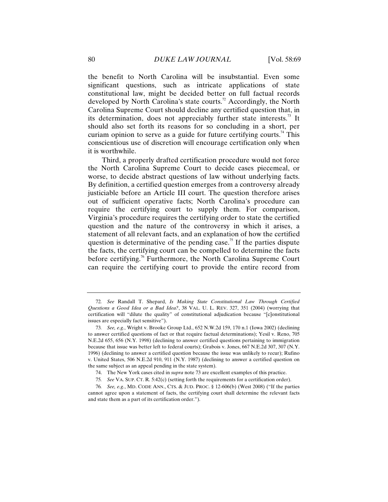the benefit to North Carolina will be insubstantial. Even some significant questions, such as intricate applications of state constitutional law, might be decided better on full factual records developed by North Carolina's state courts.<sup>72</sup> Accordingly, the North Carolina Supreme Court should decline any certified question that, in its determination, does not appreciably further state interests.<sup>73</sup> It should also set forth its reasons for so concluding in a short, per curiam opinion to serve as a guide for future certifying courts.<sup>74</sup> This conscientious use of discretion will encourage certification only when it is worthwhile.

Third, a properly drafted certification procedure would not force the North Carolina Supreme Court to decide cases piecemeal, or worse, to decide abstract questions of law without underlying facts. By definition, a certified question emerges from a controversy already justiciable before an Article III court. The question therefore arises out of sufficient operative facts; North Carolina's procedure can require the certifying court to supply them. For comparison, Virginia's procedure requires the certifying order to state the certified question and the nature of the controversy in which it arises, a statement of all relevant facts, and an explanation of how the certified question is determinative of the pending case.<sup>75</sup> If the parties dispute the facts, the certifying court can be compelled to determine the facts before certifying.<sup>76</sup> Furthermore, the North Carolina Supreme Court can require the certifying court to provide the entire record from

<sup>72</sup>*. See* Randall T. Shepard, *Is Making State Constitutional Law Through Certified Questions a Good Idea or a Bad Idea?*, 38 VAL. U. L. REV. 327, 351 (2004) (worrying that certification will "dilute the quality" of constitutional adjudication because "[c]onstitutional issues are especially fact sensitive").

<sup>73</sup>*. See, e.g.*, Wright v. Brooke Group Ltd., 652 N.W.2d 159, 170 n.1 (Iowa 2002) (declining to answer certified questions of fact or that require factual determinations); Yesil v. Reno, 705 N.E.2d 655, 656 (N.Y. 1998) (declining to answer certified questions pertaining to immigration because that issue was better left to federal courts); Grabois v. Jones, 667 N.E.2d 307, 307 (N.Y. 1996) (declining to answer a certified question because the issue was unlikely to recur); Rufino v. United States, 506 N.E.2d 910, 911 (N.Y. 1987) (declining to answer a certified question on the same subject as an appeal pending in the state system).

 <sup>74.</sup> The New York cases cited in *supra* note 73 are excellent examples of this practice.

<sup>75</sup>*. See* VA. SUP. CT. R. 5:42(c) (setting forth the requirements for a certification order).

<sup>76</sup>*. See, e.g.*, MD. CODE ANN., CTS. & JUD. PROC. § 12-606(b) (West 2008) ("If the parties cannot agree upon a statement of facts, the certifying court shall determine the relevant facts and state them as a part of its certification order.").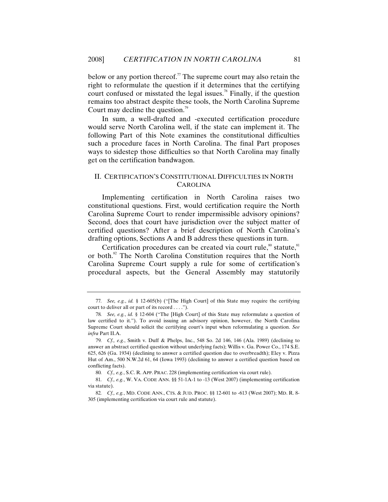below or any portion thereof.<sup>77</sup> The supreme court may also retain the right to reformulate the question if it determines that the certifying court confused or misstated the legal issues.<sup>78</sup> Finally, if the question remains too abstract despite these tools, the North Carolina Supreme Court may decline the question.<sup>79</sup>

In sum, a well-drafted and -executed certification procedure would serve North Carolina well, if the state can implement it. The following Part of this Note examines the constitutional difficulties such a procedure faces in North Carolina. The final Part proposes ways to sidestep those difficulties so that North Carolina may finally get on the certification bandwagon.

# II. CERTIFICATION'S CONSTITUTIONAL DIFFICULTIES IN NORTH CAROLINA

Implementing certification in North Carolina raises two constitutional questions. First, would certification require the North Carolina Supreme Court to render impermissible advisory opinions? Second, does that court have jurisdiction over the subject matter of certified questions? After a brief description of North Carolina's drafting options, Sections A and B address these questions in turn.

Certification procedures can be created via court rule, $\frac{80}{10}$  statute,  $\frac{81}{10}$ or both.<sup>82</sup> The North Carolina Constitution requires that the North Carolina Supreme Court supply a rule for some of certification's procedural aspects, but the General Assembly may statutorily

<sup>77</sup>*. See, e.g.*, *id.* § 12-605(b) ("[The High Court] of this State may require the certifying court to deliver all or part of its record . . . .").

<sup>78</sup>*. See, e.g.*, *id.* § 12-604 ("The [High Court] of this State may reformulate a question of law certified to it."). To avoid issuing an advisory opinion, however, the North Carolina Supreme Court should solicit the certifying court's input when reformulating a question. *See infra* Part II.A.

<sup>79</sup>*. Cf., e.g.*, Smith v. Duff & Phelps, Inc., 548 So. 2d 146, 146 (Ala. 1989) (declining to answer an abstract certified question without underlying facts); Willis v. Ga. Power Co., 174 S.E. 625, 626 (Ga. 1934) (declining to answer a certified question due to overbreadth); Eley v. Pizza Hut of Am., 500 N.W.2d 61, 64 (Iowa 1993) (declining to answer a certified question based on conflicting facts).

<sup>80</sup>*. Cf., e.g.*, S.C. R. APP. PRAC. 228 (implementing certification via court rule).

<sup>81</sup>*. Cf., e.g.*, W. VA. CODE ANN. §§ 51-1A-1 to -13 (West 2007) (implementing certification via statute).

<sup>82</sup>*. Cf., e.g.*, MD. CODE ANN., CTS. & JUD. PROC. §§ 12-601 to -613 (West 2007); MD. R. 8- 305 (implementing certification via court rule and statute).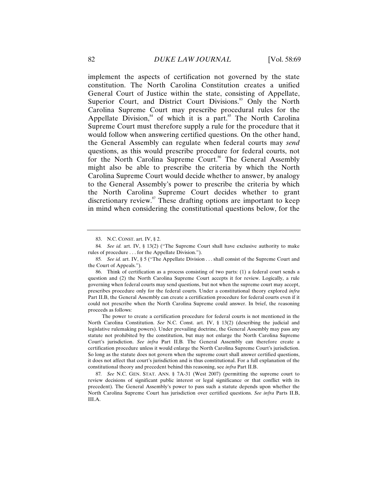implement the aspects of certification not governed by the state constitution. The North Carolina Constitution creates a unified General Court of Justice within the state, consisting of Appellate, Superior Court, and District Court Divisions.<sup>83</sup> Only the North Carolina Supreme Court may prescribe procedural rules for the Appellate Division, $84$  of which it is a part.<sup>85</sup> The North Carolina Supreme Court must therefore supply a rule for the procedure that it would follow when answering certified questions. On the other hand, the General Assembly can regulate when federal courts may *send* questions, as this would prescribe procedure for federal courts, not for the North Carolina Supreme Court.<sup>86</sup> The General Assembly might also be able to prescribe the criteria by which the North Carolina Supreme Court would decide whether to answer, by analogy to the General Assembly's power to prescribe the criteria by which the North Carolina Supreme Court decides whether to grant discretionary review. $s^7$  These drafting options are important to keep in mind when considering the constitutional questions below, for the

The power to create a certification procedure for federal courts is not mentioned in the North Carolina Constitution. *See* N.C. Const. art. IV, § 13(2) (describing the judicial and legislative rulemaking powers). Under prevailing doctrine, the General Assembly may pass any statute not prohibited by the constitution, but may not enlarge the North Carolina Supreme Court's jurisdiction. *See infra* Part II.B*.* The General Assembly can therefore create a certification procedure unless it would enlarge the North Carolina Supreme Court's jurisdiction. So long as the statute does not govern when the supreme court shall answer certified questions, it does not affect that court's jurisdiction and is thus constitutional. For a full explanation of the constitutional theory and precedent behind this reasoning, see *infra* Part II.B.

87*. See* N.C. GEN. STAT. ANN. § 7A-31 (West 2007) (permitting the supreme court to review decisions of significant public interest or legal significance or that conflict with its precedent). The General Assembly's power to pass such a statute depends upon whether the North Carolina Supreme Court has jurisdiction over certified questions. *See infra* Parts II.B, III.A.

 <sup>83.</sup> N.C. CONST. art. IV, § 2.

<sup>84</sup>*. See id.* art. IV, § 13(2) ("The Supreme Court shall have exclusive authority to make rules of procedure . . . for the Appellate Division.").

<sup>85</sup>*. See id.* art. IV, § 5 ("The Appellate Division . . . shall consist of the Supreme Court and the Court of Appeals.").

 <sup>86.</sup> Think of certification as a process consisting of two parts: (1) a federal court sends a question and (2) the North Carolina Supreme Court accepts it for review. Logically, a rule governing when federal courts may send questions, but not when the supreme court may accept, prescribes procedure only for the federal courts. Under a constitutional theory explored *infra* Part II.B, the General Assembly can create a certification procedure for federal courts even if it could not prescribe when the North Carolina Supreme could answer. In brief, the reasoning proceeds as follows: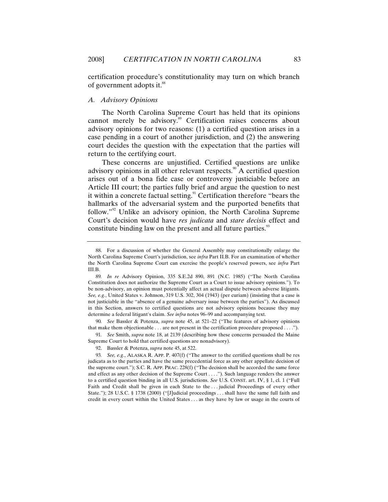certification procedure's constitutionality may turn on which branch of government adopts it.<sup>88</sup>

### *A. Advisory Opinions*

The North Carolina Supreme Court has held that its opinions cannot merely be advisory.<sup>89</sup> Certification raises concerns about advisory opinions for two reasons: (1) a certified question arises in a case pending in a court of another jurisdiction, and (2) the answering court decides the question with the expectation that the parties will return to the certifying court.

These concerns are unjustified. Certified questions are unlike advisory opinions in all other relevant respects.<sup>90</sup> A certified question arises out of a bona fide case or controversy justiciable before an Article III court; the parties fully brief and argue the question to nest it within a concrete factual setting.<sup>91</sup> Certification therefore "bears the hallmarks of the adversarial system and the purported benefits that follow."92 Unlike an advisory opinion, the North Carolina Supreme Court's decision would have *res judicata* and *stare decisis* effect and constitute binding law on the present and all future parties.<sup>93</sup>

90*. See* Bassler & Potenza, *supra* note 45, at 521–22 ("The features of advisory opinions that make them objectionable . . . are not present in the certification procedure proposed . . . .").

91*. See* Smith, *supra* note 18, at 2139 (describing how these concerns persuaded the Maine Supreme Court to hold that certified questions are nonadvisory).

 <sup>88.</sup> For a discussion of whether the General Assembly may constitutionally enlarge the North Carolina Supreme Court's jurisdiction, see *infra* Part II.B. For an examination of whether the North Carolina Supreme Court can exercise the people's reserved powers, see *infra* Part III.B.

<sup>89</sup>*. In re* Advisory Opinion, 335 S.E.2d 890, 891 (N.C. 1985) ("The North Carolina Constitution does not authorize the Supreme Court as a Court to issue advisory opinions."). To be non-advisory, an opinion must potentially affect an actual dispute between adverse litigants. *See, e.g.*, United States v. Johnson, 319 U.S. 302, 304 (1943) (per curiam) (insisting that a case is not justiciable in the "absence of a genuine adversary issue between the parties"). As discussed in this Section, answers to certified questions are not advisory opinions because they may determine a federal litigant's claim. *See infra* notes 96–99 and accompanying text.

 <sup>92.</sup> Bassler & Potenza, *supra* note 45, at 522.

<sup>93</sup>*. See, e.g.*, ALASKA R. APP. P. 407(f) ("The answer to the certified questions shall be res judicata as to the parties and have the same precedential force as any other appellate decision of the supreme court."); S.C. R. APP. PRAC. 228(f) ("The decision shall be accorded the same force and effect as any other decision of the Supreme Court . . . ."). Such language renders the answer to a certified question binding in all U.S. jurisdictions. *See* U.S. CONST. art. IV, § 1, cl. 1 ("Full Faith and Credit shall be given in each State to the . . . judicial Proceedings of every other State."); 28 U.S.C. § 1738 (2000) ("[J]udicial proceedings . . . shall have the same full faith and credit in every court within the United States . . . as they have by law or usage in the courts of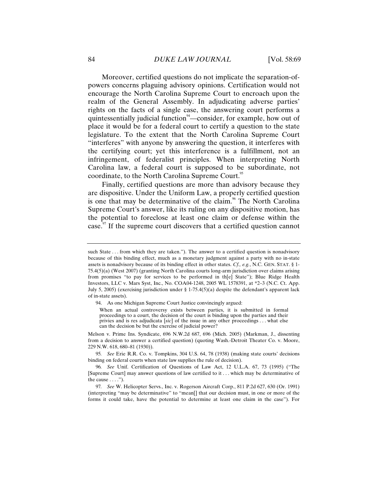Moreover, certified questions do not implicate the separation-ofpowers concerns plaguing advisory opinions. Certification would not encourage the North Carolina Supreme Court to encroach upon the realm of the General Assembly. In adjudicating adverse parties' rights on the facts of a single case, the answering court performs a quintessentially judicial function<sup>94</sup>—consider, for example, how out of place it would be for a federal court to certify a question to the state legislature. To the extent that the North Carolina Supreme Court "interferes" with anyone by answering the question, it interferes with the certifying court; yet this interference is a fulfillment, not an infringement, of federalist principles. When interpreting North Carolina law, a federal court is supposed to be subordinate, not coordinate, to the North Carolina Supreme Court.<sup>95</sup>

Finally, certified questions are more than advisory because they are dispositive. Under the Uniform Law, a properly certified question is one that may be determinative of the claim.<sup>96</sup> The North Carolina Supreme Court's answer, like its ruling on any dispositive motion, has the potential to foreclose at least one claim or defense within the case.<sup>97</sup> If the supreme court discovers that a certified question cannot

such State . . . from which they are taken."). The answer to a certified question is nonadvisory because of this binding effect, much as a monetary judgment against a party with no in-state assets is nonadvisory because of its binding effect in other states. *Cf., e.g.*, N.C. GEN. STAT. § 1- 75.4(5)(a) (West 2007) (granting North Carolina courts long-arm jurisdiction over claims arising from promises "to pay for services to be performed in th[e] State"); Blue Ridge Health Investors, LLC v. Mars Syst, Inc., No. COA04-1248, 2005 WL 1578391, at \*2–3 (N.C. Ct. App. July 5, 2005) (exercising jurisdiction under § 1-75.4(5)(a) despite the defendant's apparent lack of in-state assets).

 <sup>94.</sup> As one Michigan Supreme Court Justice convincingly argued:

When an actual controversy exists between parties, it is submitted in formal proceedings to a court, the decision of the court is binding upon the parties and their privies and is res adjudicata [*sic*] of the issue in any other proceedings . . . what else can the decision be but the exercise of judicial power?

Melson v. Prime Ins. Syndicate, 696 N.W.2d 687, 696 (Mich. 2005) (Markman, J., dissenting from a decision to answer a certified question) (quoting Wash.-Detroit Theater Co. v. Moore, 229 N.W. 618, 680–81 (1930)).

<sup>95</sup>*. See* Erie R.R. Co. v. Tompkins, 304 U.S. 64, 78 (1938) (making state courts' decisions binding on federal courts when state law supplies the rule of decision).

<sup>96</sup>*. See* Unif. Certification of Questions of Law Act, 12 U.L.A. 67, 73 (1995) ("The [Supreme Court] may answer questions of law certified to it . . . which may be determinative of the cause  $\dots$ .").

<sup>97</sup>*. See* W. Helicopter Servs., Inc. v. Rogerson Aircraft Corp., 811 P.2d 627, 630 (Or. 1991) (interpreting "may be determinative" to "mean[] that our decision must, in one or more of the forms it could take, have the potential to determine at least one claim in the case"). For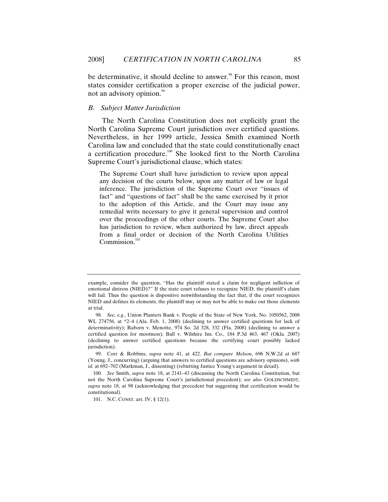be determinative, it should decline to answer.<sup>98</sup> For this reason, most states consider certification a proper exercise of the judicial power, not an advisory opinion.<sup>99</sup>

# *B. Subject Matter Jurisdiction*

The North Carolina Constitution does not explicitly grant the North Carolina Supreme Court jurisdiction over certified questions. Nevertheless, in her 1999 article, Jessica Smith examined North Carolina law and concluded that the state could constitutionally enact a certification procedure.<sup>100</sup> She looked first to the North Carolina Supreme Court's jurisdictional clause, which states:

The Supreme Court shall have jurisdiction to review upon appeal any decision of the courts below, upon any matter of law or legal inference. The jurisdiction of the Supreme Court over "issues of fact" and "questions of fact" shall be the same exercised by it prior to the adoption of this Article, and the Court may issue any remedial writs necessary to give it general supervision and control over the proceedings of the other courts. The Supreme Court also has jurisdiction to review, when authorized by law, direct appeals from a final order or decision of the North Carolina Utilities Commission.<sup>1</sup>

 99. Corr & Robbins, *supra* note 41, at 422. *But compare Melson*, 696 N.W.2d at 687 (Young, J., concurring) (arguing that answers to certified questions are advisory opinions), *with id.* at 692–702 (Markman, J., dissenting) (rebutting Justice Young's argument in detail).

101. N.C. CONST. art. IV, § 12(1).

example, consider the question, "Has the plaintiff stated a claim for negligent infliction of emotional distress (NIED)?" If the state court refuses to recognize NIED, the plaintiff's claim will fail. Thus the question is dispositive notwithstanding the fact that, if the court recognizes NIED and defines its elements, the plaintiff may or may not be able to make out those elements at trial.

<sup>98</sup>*. See, e.g.*, Union Planters Bank v. People of the State of New York, No. 1050562, 2008 WL 274756, at \*2–4 (Ala. Feb. 1, 2008) (declining to answer certified questions for lack of determinativity); Raborn v. Menotte, 974 So. 2d 328, 332 (Fla. 2008) (declining to answer a certified question for mootness); Ball v. Wilshire Ins. Co., 184 P.3d 463, 467 (Okla. 2007) (declining to answer certified questions because the certifying court possibly lacked jurisdiction).

<sup>100</sup>*. See* Smith, *supra* note 18, at 2141–43 (discussing the North Carolina Constitution, but not the North Carolina Supreme Court's jurisdictional precedent); *see also* GOLDSCHMIDT, *supra* note 18, at 98 (acknowledging that precedent but suggesting that certification would be constitutional).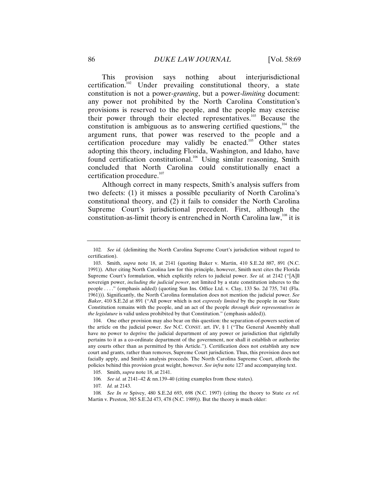This provision says nothing about interjurisdictional certification.102 Under prevailing constitutional theory, a state constitution is not a power-*granting*, but a power-*limiting* document: any power not prohibited by the North Carolina Constitution's provisions is reserved to the people, and the people may exercise their power through their elected representatives.<sup>103</sup> Because the constitution is ambiguous as to answering certified questions, $104$  the argument runs, that power was reserved to the people and a certification procedure may validly be enacted.<sup>105</sup> Other states adopting this theory, including Florida, Washington, and Idaho, have found certification constitutional.<sup>106</sup> Using similar reasoning, Smith concluded that North Carolina could constitutionally enact a certification procedure. $107$ 

Although correct in many respects, Smith's analysis suffers from two defects: (1) it misses a possible peculiarity of North Carolina's constitutional theory, and (2) it fails to consider the North Carolina Supreme Court's jurisdictional precedent. First, although the constitution-as-limit theory is entrenched in North Carolina law,  $108$  it is

 104. One other provision may also bear on this question: the separation-of-powers section of the article on the judicial power. *See* N.C. CONST. art. IV, § 1 ("The General Assembly shall have no power to deprive the judicial department of any power or jurisdiction that rightfully pertains to it as a co-ordinate department of the government, nor shall it establish or authorize any courts other than as permitted by this Article."). Certification does not establish any new court and grants, rather than removes, Supreme Court jurisdiction. Thus, this provision does not facially apply, and Smith's analysis proceeds. The North Carolina Supreme Court, affords the policies behind this provision great weight, however. *See infra* note 127 and accompanying text.

- 106*. See id.* at 2141–42 & nn.139–40 (citing examples from these states).
- 107*. Id.* at 2143.

<sup>102</sup>*. See id.* (delimiting the North Carolina Supreme Court's jurisdiction without regard to certification).

 <sup>103.</sup> Smith, *supra* note 18, at 2141 (quoting Baker v. Martin, 410 S.E.2d 887, 891 (N.C. 1991)). After citing North Carolina law for this principle, however, Smith next cites the Florida Supreme Court's formulation, which explicitly refers to judicial power. *See id.* at 2142 ("[A]ll sovereign power, *including the judicial power*, not limited by a state constitution inheres to the people . . . ." (emphasis added) (quoting Sun Ins. Office Ltd. v. Clay, 133 So. 2d 735, 741 (Fla. 1961))). Significantly, the North Carolina formulation does not mention the judicial power. *See Baker*, 410 S.E.2d at 891 ("All power which is not *expressly limited* by the people in our State Constitution remains with the people, and an act of the people *through their representatives in the legislature* is valid unless prohibited by that Constitution." (emphasis added)).

 <sup>105.</sup> Smith, *supra* note 18, at 2141.

<sup>108</sup>*. See In re* Spivey, 480 S.E.2d 693, 698 (N.C. 1997) (citing the theory to State *ex rel.* Martin v. Preston, 385 S.E.2d 473, 478 (N.C. 1989)). But the theory is much older: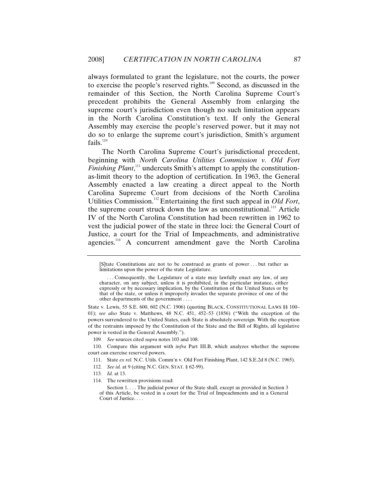always formulated to grant the legislature, not the courts, the power to exercise the people's reserved rights.<sup>109</sup> Second, as discussed in the remainder of this Section, the North Carolina Supreme Court's precedent prohibits the General Assembly from enlarging the supreme court's jurisdiction even though no such limitation appears in the North Carolina Constitution's text. If only the General Assembly may exercise the people's reserved power, but it may not do so to enlarge the supreme court's jurisdiction, Smith's argument  ${\rm fails.}^{110}$ 

The North Carolina Supreme Court's jurisdictional precedent, beginning with *North Carolina Utilities Commission v. Old Fort Finishing Plant*,<sup>111</sup> undercuts Smith's attempt to apply the constitutionas-limit theory to the adoption of certification. In 1963, the General Assembly enacted a law creating a direct appeal to the North Carolina Supreme Court from decisions of the North Carolina Utilities Commission.112 Entertaining the first such appeal in *Old Fort*, the supreme court struck down the law as unconstitutional.<sup>113</sup> Article IV of the North Carolina Constitution had been rewritten in 1962 to vest the judicial power of the state in three loci: the General Court of Justice, a court for the Trial of Impeachments, and administrative agencies.<sup>114</sup> A concurrent amendment gave the North Carolina

State v. Lewis, 55 S.E. 600, 602 (N.C. 1906) (quoting BLACK, CONSTITUTIONAL LAWS §§ 100– 01); *see also* State v. Matthews, 48 N.C. 451, 452–53 (1856) ("With the exception of the powers surrendered to the United States, each State is absolutely sovereign. With the exception of the restraints imposed by the Constitution of the State and the Bill of Rights, all legislative power is vested in the General Assembly.").

109*. See* sources cited *supra* notes 103 and 108.

 110. Compare this argument with *infra* Part III.B, which analyzes whether the supreme court can exercise reserved powers.

- 111. State *ex rel.* N.C. Utils. Comm'n v. Old Fort Finishing Plant, 142 S.E.2d 8 (N.C. 1965).
- 112*. See id.* at 9 (citing N.C. GEN. STAT. § 62-99).
- 113*. Id.* at 13.
- 114. The rewritten provisions read:

Section 1. . . . The judicial power of the State shall, except as provided in Section 3 of this Article, be vested in a court for the Trial of Impeachments and in a General Court of Justice. . . .

<sup>[</sup>S]tate Constitutions are not to be construed as grants of power . . . but rather as limitations upon the power of the state Legislature.

 <sup>. . .</sup> Consequently, the Legislature of a state may lawfully enact any law, of any character, on any subject, unless it is prohibited, in the particular instance, either expressly or by necessary implication, by the Constitution of the United States or by that of the state, or unless it improperly invades the separate province of one of the other departments of the government . . . .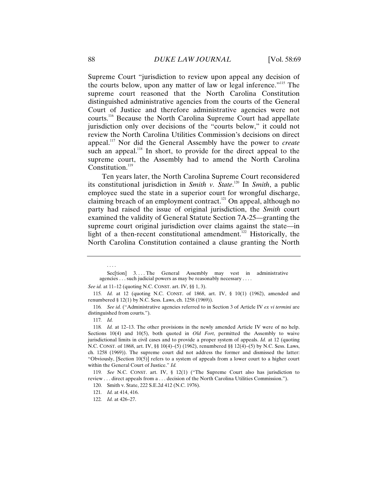Supreme Court "jurisdiction to review upon appeal any decision of the courts below, upon any matter of law or legal inference."115 The supreme court reasoned that the North Carolina Constitution distinguished administrative agencies from the courts of the General Court of Justice and therefore administrative agencies were not courts.<sup>116</sup> Because the North Carolina Supreme Court had appellate jurisdiction only over decisions of the "courts below," it could not review the North Carolina Utilities Commission's decisions on direct appeal.117 Nor did the General Assembly have the power to *create* such an appeal.<sup>118</sup> In short, to provide for the direct appeal to the supreme court, the Assembly had to amend the North Carolina Constitution.<sup>119</sup>

Ten years later, the North Carolina Supreme Court reconsidered its constitutional jurisdiction in *Smith v. State*. 120 In *Smith*, a public employee sued the state in a superior court for wrongful discharge, claiming breach of an employment contract.<sup>121</sup> On appeal, although no party had raised the issue of original jurisdiction, the *Smith* court examined the validity of General Statute Section 7A-25—granting the supreme court original jurisdiction over claims against the state—in light of a then-recent constitutional amendment.<sup>122</sup> Historically, the North Carolina Constitution contained a clause granting the North

. . . .

119*. See* N.C. CONST. art. IV, § 12(1) ("The Supreme Court also has jurisdiction to review . . . direct appeals from a . . . decision of the North Carolina Utilities Commission.").

Sec<sup>[tion]</sup> 3.... The General Assembly may vest in administrative agencies . . . such judicial powers as may be reasonably necessary . . . .

*See id.* at 11–12 (quoting N.C. CONST. art. IV, §§ 1, 3).

<sup>115</sup>*. Id.* at 12 (quoting N.C. CONST. of 1868, art. IV, § 10(1) (1962), amended and renumbered § 12(1) by N.C. Sess. Laws, ch. 1258 (1969)).

<sup>116</sup>*. See id.* ("Administrative agencies referred to in Section 3 of Article IV *ex vi termini* are distinguished from courts.").

<sup>117</sup>*. Id.*

<sup>118</sup>*. Id.* at 12–13. The other provisions in the newly amended Article IV were of no help. Sections 10(4) and 10(5), both quoted in *Old Fort*, permitted the Assembly to waive jurisdictional limits in civil cases and to provide a proper system of appeals. *Id.* at 12 (quoting N.C. CONST. of 1868, art. IV, §§ 10(4)–(5) (1962), renumbered §§ 12(4)–(5) by N.C. Sess. Laws, ch. 1258 (1969)). The supreme court did not address the former and dismissed the latter: "Obviously,  $[Section 10(5)]$  refers to a system of appeals from a lower court to a higher court within the General Court of Justice." *Id.*

 <sup>120.</sup> Smith v. State, 222 S.E.2d 412 (N.C. 1976).

<sup>121</sup>*. Id.* at 414, 416.

<sup>122</sup>*. Id.* at 426–27.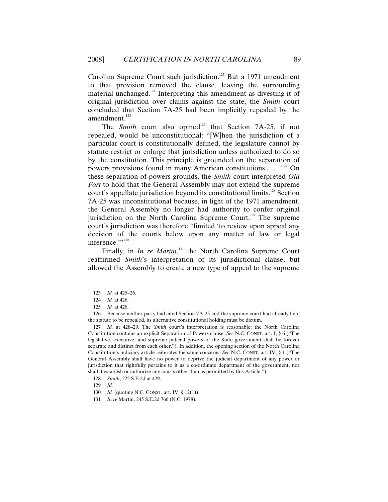Carolina Supreme Court such jurisdiction.<sup>123</sup> But a 1971 amendment to that provision removed the clause, leaving the surrounding material unchanged.<sup>124</sup> Interpreting this amendment as divesting it of original jurisdiction over claims against the state, the *Smith* court concluded that Section 7A-25 had been implicitly repealed by the amendment.<sup>125</sup>

The *Smith* court also opined<sup>126</sup> that Section 7A-25, if not repealed, would be unconstitutional: "[W]hen the jurisdiction of a particular court is constitutionally defined, the legislature cannot by statute restrict or enlarge that jurisdiction unless authorized to do so by the constitution. This principle is grounded on the separation of powers provisions found in many American constitutions . . . .  $\cdot$ <sup>127</sup> On these separation-of-powers grounds, the *Smith* court interpreted *Old Fort* to hold that the General Assembly may not extend the supreme court's appellate jurisdiction beyond its constitutional limits.<sup>128</sup> Section 7A-25 was unconstitutional because, in light of the 1971 amendment, the General Assembly no longer had authority to confer original jurisdiction on the North Carolina Supreme Court.<sup>129</sup> The supreme court's jurisdiction was therefore "limited 'to review upon appeal any decision of the courts below upon any matter of law or legal inference."<sup>130</sup>

Finally, in *In re Martin*<sup>131</sup>, the North Carolina Supreme Court reaffirmed *Smith*'s interpretation of its jurisdictional clause, but allowed the Assembly to create a new type of appeal to the supreme

<sup>123</sup>*. Id.* at 425–26.

<sup>124</sup>*. Id.* at 426.

<sup>125</sup>*. Id.* at 428.

 <sup>126.</sup> Because neither party had cited Section 7A-25 and the supreme court had already held the statute to be repealed, its alternative constitutional holding must be dictum.

<sup>127</sup>*. Id.* at 428–29. The *Smith* court's interpretation is reasonable: the North Carolina Constitution contains an explicit Separation of Powers clause. *See* N.C. CONST. art. I, § 6 ("The legislative, executive, and supreme judicial powers of the State government shall be forever separate and distinct from each other."). In addition, the opening section of the North Carolina Constitution's judiciary article reiterates the same concerns. *See* N.C. CONST. art. IV, § 1 ("The General Assembly shall have no power to deprive the judicial department of any power or jurisdiction that rightfully pertains to it as a co-ordinate department of the government, nor shall it establish or authorize any courts other than as permitted by this Article.").

<sup>128</sup>*. Smith*, 222 S.E.2d at 429.

<sup>129</sup>*. Id.*

<sup>130</sup>*. Id.* (quoting N.C. CONST. art. IV, § 12(1)).

<sup>131</sup>*. In re* Martin, 245 S.E.2d 766 (N.C. 1978).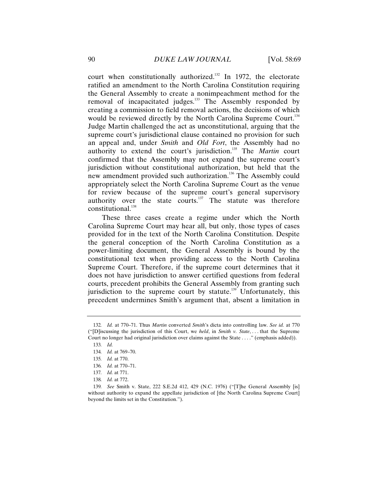court when constitutionally authorized.<sup>132</sup> In 1972, the electorate ratified an amendment to the North Carolina Constitution requiring the General Assembly to create a nonimpeachment method for the removal of incapacitated judges.<sup>133</sup> The Assembly responded by creating a commission to field removal actions, the decisions of which would be reviewed directly by the North Carolina Supreme Court.<sup>134</sup> Judge Martin challenged the act as unconstitutional, arguing that the supreme court's jurisdictional clause contained no provision for such an appeal and, under *Smith* and *Old Fort*, the Assembly had no authority to extend the court's jurisdiction.135 The *Martin* court confirmed that the Assembly may not expand the supreme court's jurisdiction without constitutional authorization, but held that the new amendment provided such authorization.<sup>136</sup> The Assembly could appropriately select the North Carolina Supreme Court as the venue for review because of the supreme court's general supervisory authority over the state courts. $137$  The statute was therefore constitutional.<sup>138</sup>

These three cases create a regime under which the North Carolina Supreme Court may hear all, but only, those types of cases provided for in the text of the North Carolina Constitution. Despite the general conception of the North Carolina Constitution as a power-limiting document, the General Assembly is bound by the constitutional text when providing access to the North Carolina Supreme Court. Therefore, if the supreme court determines that it does not have jurisdiction to answer certified questions from federal courts, precedent prohibits the General Assembly from granting such jurisdiction to the supreme court by statute.<sup>139</sup> Unfortunately, this precedent undermines Smith's argument that, absent a limitation in

<sup>132</sup>*. Id.* at 770–71. Thus *Martin* converted *Smith*'s dicta into controlling law. *See id.* at 770 ("[D]iscussing the jurisdiction of this Court, we *held*, in *Smith v. State*, . . . that the Supreme Court no longer had original jurisdiction over claims against the State . . . ." (emphasis added)).

<sup>133</sup>*. Id.*

<sup>134</sup>*. Id.* at 769–70.

<sup>135</sup>*. Id.* at 770.

<sup>136</sup>*. Id.* at 770–71.

<sup>137</sup>*. Id.* at 771.

<sup>138</sup>*. Id.* at 772.

<sup>139</sup>*. See* Smith v. State, 222 S.E.2d 412, 429 (N.C. 1976) ("[T]he General Assembly [is] without authority to expand the appellate jurisdiction of [the North Carolina Supreme Court] beyond the limits set in the Constitution.").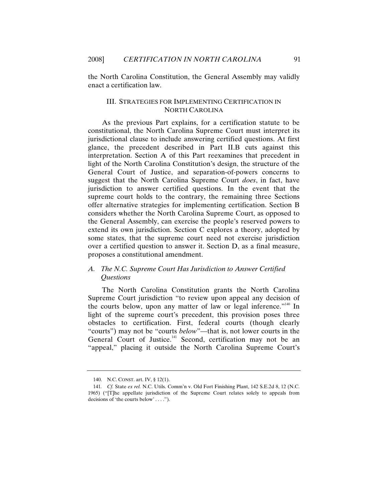the North Carolina Constitution, the General Assembly may validly enact a certification law.

### III. STRATEGIES FOR IMPLEMENTING CERTIFICATION IN NORTH CAROLINA

As the previous Part explains, for a certification statute to be constitutional, the North Carolina Supreme Court must interpret its jurisdictional clause to include answering certified questions. At first glance, the precedent described in Part II.B cuts against this interpretation. Section A of this Part reexamines that precedent in light of the North Carolina Constitution's design, the structure of the General Court of Justice, and separation-of-powers concerns to suggest that the North Carolina Supreme Court *does*, in fact, have jurisdiction to answer certified questions. In the event that the supreme court holds to the contrary, the remaining three Sections offer alternative strategies for implementing certification. Section B considers whether the North Carolina Supreme Court, as opposed to the General Assembly, can exercise the people's reserved powers to extend its own jurisdiction. Section C explores a theory, adopted by some states, that the supreme court need not exercise jurisdiction over a certified question to answer it. Section D, as a final measure, proposes a constitutional amendment.

# *A. The N.C. Supreme Court Has Jurisdiction to Answer Certified Questions*

The North Carolina Constitution grants the North Carolina Supreme Court jurisdiction "to review upon appeal any decision of the courts below, upon any matter of law or legal inference."<sup>140</sup> In light of the supreme court's precedent, this provision poses three obstacles to certification. First, federal courts (though clearly "courts") may not be "courts *below*"—that is, not lower courts in the General Court of Justice.<sup>141</sup> Second, certification may not be an "appeal," placing it outside the North Carolina Supreme Court's

 <sup>140.</sup> N.C. CONST. art. IV, § 12(1).

<sup>141</sup>*. Cf.* State *ex rel.* N.C. Utils. Comm'n v. Old Fort Finishing Plant, 142 S.E.2d 8, 12 (N.C. 1965) ("[T]he appellate jurisdiction of the Supreme Court relates solely to appeals from decisions of 'the courts below' . . . .").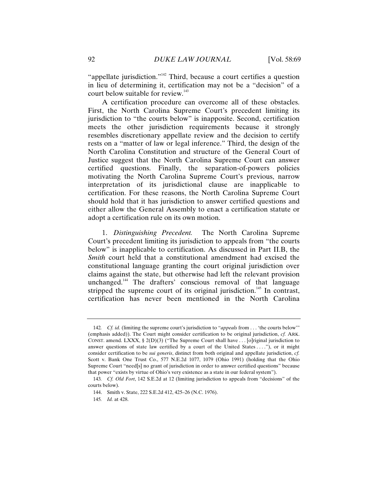"appellate jurisdiction."<sup>142</sup> Third, because a court certifies a question in lieu of determining it, certification may not be a "decision" of a court below suitable for review.<sup>143</sup>

A certification procedure can overcome all of these obstacles. First, the North Carolina Supreme Court's precedent limiting its jurisdiction to "the courts below" is inapposite. Second, certification meets the other jurisdiction requirements because it strongly resembles discretionary appellate review and the decision to certify rests on a "matter of law or legal inference." Third, the design of the North Carolina Constitution and structure of the General Court of Justice suggest that the North Carolina Supreme Court can answer certified questions. Finally, the separation-of-powers policies motivating the North Carolina Supreme Court's previous, narrow interpretation of its jurisdictional clause are inapplicable to certification. For these reasons, the North Carolina Supreme Court should hold that it has jurisdiction to answer certified questions and either allow the General Assembly to enact a certification statute or adopt a certification rule on its own motion.

1. *Distinguishing Precedent.* The North Carolina Supreme Court's precedent limiting its jurisdiction to appeals from "the courts below" is inapplicable to certification. As discussed in Part II.B, the *Smith* court held that a constitutional amendment had excised the constitutional language granting the court original jurisdiction over claims against the state, but otherwise had left the relevant provision unchanged.<sup>144</sup> The drafters' conscious removal of that language stripped the supreme court of its original jurisdiction.<sup>145</sup> In contrast, certification has never been mentioned in the North Carolina

<sup>142</sup>*. Cf. id.* (limiting the supreme court's jurisdiction to "*appeals* from . . . 'the courts below'" (emphasis added)). The Court might consider certification to be original jurisdiction, *cf.* ARK. CONST. amend. LXXX, § 2(D)(3) ("The Supreme Court shall have ... [o] riginal jurisdiction to answer questions of state law certified by a court of the United States  $\dots$ "), or it might consider certification to be *sui generis*, distinct from both original and appellate jurisdiction, *cf.*  Scott v. Bank One Trust Co., 577 N.E.2d 1077, 1079 (Ohio 1991) (holding that the Ohio Supreme Court "need[s] no grant of jurisdiction in order to answer certified questions" because that power "exists by virtue of Ohio's very existence as a state in our federal system").

<sup>143</sup>*. Cf. Old Fort*, 142 S.E.2d at 12 (limiting jurisdiction to appeals from "decisions" of the courts below).

 <sup>144.</sup> Smith v. State, 222 S.E.2d 412, 425–26 (N.C. 1976).

<sup>145</sup>*. Id.* at 428.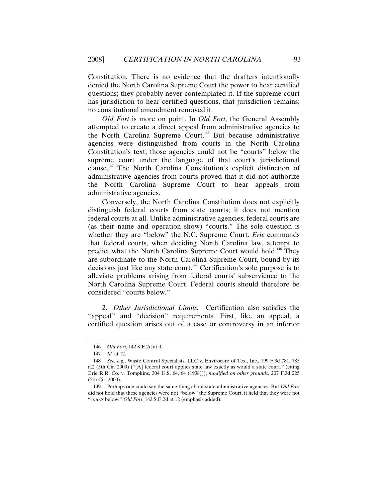Constitution. There is no evidence that the drafters intentionally denied the North Carolina Supreme Court the power to hear certified questions; they probably never contemplated it. If the supreme court has jurisdiction to hear certified questions, that jurisdiction remains; no constitutional amendment removed it.

*Old Fort* is more on point. In *Old Fort*, the General Assembly attempted to create a direct appeal from administrative agencies to the North Carolina Supreme Court.<sup>146</sup> But because administrative agencies were distinguished from courts in the North Carolina Constitution's text, those agencies could not be "courts" below the supreme court under the language of that court's jurisdictional clause.<sup>147</sup> The North Carolina Constitution's explicit distinction of administrative agencies from courts proved that it did not authorize the North Carolina Supreme Court to hear appeals from administrative agencies.

Conversely, the North Carolina Constitution does not explicitly distinguish federal courts from state courts; it does not mention federal courts at all. Unlike administrative agencies, federal courts are (as their name and operation show) "courts." The sole question is whether they are "below" the N.C. Supreme Court. *Erie* commands that federal courts, when deciding North Carolina law, attempt to predict what the North Carolina Supreme Court would hold.<sup>148</sup> They are subordinate to the North Carolina Supreme Court, bound by its decisions just like any state court.<sup>149</sup> Certification's sole purpose is to alleviate problems arising from federal courts' subservience to the North Carolina Supreme Court. Federal courts should therefore be considered "courts below."

2. *Other Jurisdictional Limits.* Certification also satisfies the "appeal" and "decision" requirements. First, like an appeal, a certified question arises out of a case or controversy in an inferior

<sup>146</sup>*. Old Fort*, 142 S.E.2d at 9.

<sup>147</sup>*. Id.* at 12.

<sup>148</sup>*. See, e.g.*, Waste Control Specialists, LLC v. Envirocare of Tex., Inc., 199 F.3d 781, 785 n.2 (5th Cir. 2000) ("[A] federal court applies state law exactly as would a state court." (citing Erie R.R. Co. v. Tompkins, 304 U.S. 64, 64 (1938))), *modified on other grounds*, 207 F.3d 225 (5th Cir. 2000).

 <sup>149.</sup> Perhaps one could say the same thing about state administrative agencies. But *Old Fort*  did not hold that these agencies were not "below" the Supreme Court, it held that they were not "*courts* below." *Old Fort*, 142 S.E.2d at 12 (emphasis added).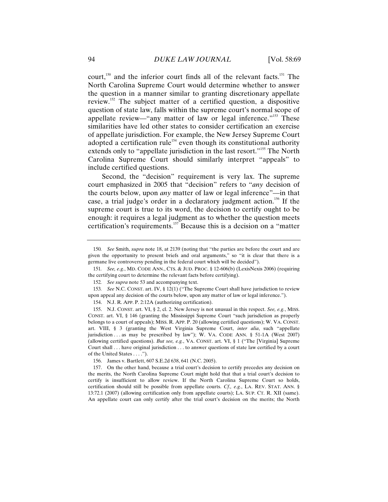court,<sup>150</sup> and the inferior court finds all of the relevant facts.<sup>151</sup> The North Carolina Supreme Court would determine whether to answer the question in a manner similar to granting discretionary appellate review.<sup>152</sup> The subject matter of a certified question, a dispositive question of state law, falls within the supreme court's normal scope of appellate review—"any matter of law or legal inference."<sup>153</sup> These similarities have led other states to consider certification an exercise of appellate jurisdiction. For example, the New Jersey Supreme Court adopted a certification rule<sup>154</sup> even though its constitutional authority extends only to "appellate jurisdiction in the last resort."<sup>155</sup> The North Carolina Supreme Court should similarly interpret "appeals" to include certified questions.

Second, the "decision" requirement is very lax. The supreme court emphasized in 2005 that "decision" refers to "*any* decision of the courts below, upon *any* matter of law or legal inference"—in that case, a trial judge's order in a declaratory judgment action.<sup>156</sup> If the supreme court is true to its word, the decision to certify ought to be enough: it requires a legal judgment as to whether the question meets certification's requirements.157 Because this is a decision on a "matter

152*. See supra* note 53 and accompanying text.

153*. See* N.C. CONST. art. IV, § 12(1) ("The Supreme Court shall have jurisdiction to review upon appeal any decision of the courts below, upon any matter of law or legal inference.").

154. N.J. R. APP. P. 2:12A (authorizing certification).

156. James v. Bartlett, 607 S.E.2d 638, 641 (N.C. 2005).

<sup>150</sup>*. See* Smith, *supra* note 18, at 2139 (noting that "the parties are before the court and are given the opportunity to present briefs and oral arguments," so "it is clear that there is a germane live controversy pending in the federal court which will be decided").

<sup>151</sup>*. See, e.g.*, MD. CODE ANN., CTS. & JUD. PROC. § 12-606(b) (LexisNexis 2006) (requiring the certifying court to determine the relevant facts before certifying).

 <sup>155.</sup> N.J. CONST. art. VI, § 2, cl. 2. New Jersey is not unusual in this respect. *See, e.g.*, MISS. CONST. art. VI, § 146 (granting the Mississippi Supreme Court "such jurisdiction as properly belongs to a court of appeals); MISS. R. APP. P. 20 (allowing certified questions); W. VA. CONST. art. VIII, § 3 (granting the West Virginia Supreme Court, *inter alia*, such "appellate jurisdiction . . . as may be prescribed by law"); W. VA. CODE ANN. § 51-1A (West 2007) (allowing certified questions). *But see, e.g.*, VA. CONST. art. VI, § 1 ("The [Virginia] Supreme Court shall . . . have original jurisdiction . . . to answer questions of state law certified by a court of the United States . . . .").

 <sup>157.</sup> On the other hand, because a trial court's decision to certify precedes any decision on the merits, the North Carolina Supreme Court might hold that that a trial court's decision to certify is insufficient to allow review. If the North Carolina Supreme Court so holds, certification should still be possible from appellate courts. *Cf., e.g.*, LA. REV. STAT. ANN. § 13:72.1 (2007) (allowing certification only from appellate courts); LA. SUP. CT. R. XII (same). An appellate court can only certify after the trial court's decision on the merits; the North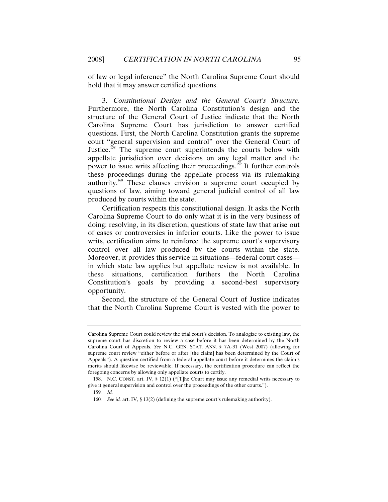of law or legal inference" the North Carolina Supreme Court should hold that it may answer certified questions.

3. *Constitutional Design and the General Court's Structure.* Furthermore, the North Carolina Constitution's design and the structure of the General Court of Justice indicate that the North Carolina Supreme Court has jurisdiction to answer certified questions. First, the North Carolina Constitution grants the supreme court "general supervision and control" over the General Court of Justice.<sup>158</sup> The supreme court superintends the courts below with appellate jurisdiction over decisions on any legal matter and the power to issue writs affecting their proceedings.<sup>159</sup> It further controls these proceedings during the appellate process via its rulemaking authority.<sup>160</sup> These clauses envision a supreme court occupied by questions of law, aiming toward general judicial control of all law produced by courts within the state.

Certification respects this constitutional design. It asks the North Carolina Supreme Court to do only what it is in the very business of doing: resolving, in its discretion, questions of state law that arise out of cases or controversies in inferior courts. Like the power to issue writs, certification aims to reinforce the supreme court's supervisory control over all law produced by the courts within the state. Moreover, it provides this service in situations—federal court cases in which state law applies but appellate review is not available. In these situations, certification furthers the North Carolina Constitution's goals by providing a second-best supervisory opportunity.

Second, the structure of the General Court of Justice indicates that the North Carolina Supreme Court is vested with the power to

Carolina Supreme Court could review the trial court's decision. To analogize to existing law, the supreme court has discretion to review a case before it has been determined by the North Carolina Court of Appeals. *See* N.C. GEN. STAT. ANN. § 7A-31 (West 2007) (allowing for supreme court review "either before or after [the claim] has been determined by the Court of Appeals"). A question certified from a federal appellate court before it determines the claim's merits should likewise be reviewable. If necessary, the certification procedure can reflect the foregoing concerns by allowing only appellate courts to certify.

 <sup>158.</sup> N.C. CONST. art. IV, § 12(1) ("[T]he Court may issue any remedial writs necessary to give it general supervision and control over the proceedings of the other courts.").

<sup>159</sup>*. Id.*

<sup>160</sup>*. See id.* art. IV, § 13(2) (defining the supreme court's rulemaking authority).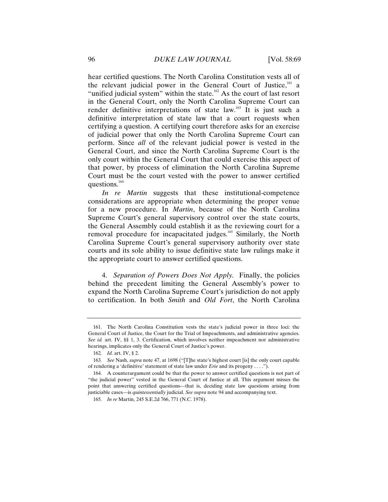hear certified questions. The North Carolina Constitution vests all of the relevant judicial power in the General Court of Justice,<sup>161</sup> a "unified judicial system" within the state.<sup>162</sup> As the court of last resort in the General Court, only the North Carolina Supreme Court can render definitive interpretations of state law.<sup>163</sup> It is just such a definitive interpretation of state law that a court requests when certifying a question. A certifying court therefore asks for an exercise of judicial power that only the North Carolina Supreme Court can perform. Since *all* of the relevant judicial power is vested in the General Court, and since the North Carolina Supreme Court is the only court within the General Court that could exercise this aspect of that power, by process of elimination the North Carolina Supreme Court must be the court vested with the power to answer certified questions.<sup>164</sup>

*In re Martin* suggests that these institutional-competence considerations are appropriate when determining the proper venue for a new procedure. In *Martin*, because of the North Carolina Supreme Court's general supervisory control over the state courts, the General Assembly could establish it as the reviewing court for a removal procedure for incapacitated judges.<sup>165</sup> Similarly, the North Carolina Supreme Court's general supervisory authority over state courts and its sole ability to issue definitive state law rulings make it the appropriate court to answer certified questions.

4. *Separation of Powers Does Not Apply.* Finally, the policies behind the precedent limiting the General Assembly's power to expand the North Carolina Supreme Court's jurisdiction do not apply to certification. In both *Smith* and *Old Fort*, the North Carolina

 <sup>161.</sup> The North Carolina Constitution vests the state's judicial power in three loci: the General Court of Justice, the Court for the Trial of Impeachments, and administrative agencies. *See id.* art. IV, §§ 1, 3. Certification, which involves neither impeachment nor administrative hearings, implicates only the General Court of Justice's power.

<sup>162</sup>*. Id.* art. IV, § 2.

<sup>163</sup>*. See* Nash, *supra* note 47, at 1698 ("[T]he state's highest court [is] the only court capable of rendering a 'definitive' statement of state law under *Erie* and its progeny . . . .").

 <sup>164.</sup> A counterargument could be that the power to answer certified questions is not part of "the judicial power" vested in the General Court of Justice at all. This argument misses the point that answering certified questions—that is, deciding state law questions arising from justiciable cases—is *quintessentially* judicial. *See supra* note 94 and accompanying text.

<sup>165</sup>*. In re* Martin, 245 S.E.2d 766, 771 (N.C. 1978).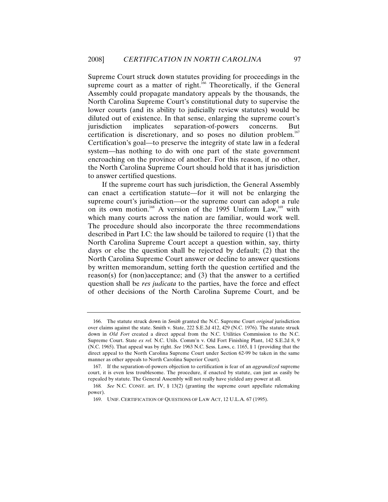Supreme Court struck down statutes providing for proceedings in the supreme court as a matter of right.<sup>166</sup> Theoretically, if the General Assembly could propagate mandatory appeals by the thousands, the North Carolina Supreme Court's constitutional duty to supervise the lower courts (and its ability to judicially review statutes) would be diluted out of existence. In that sense, enlarging the supreme court's jurisdiction implicates separation-of-powers concerns. But certification is discretionary, and so poses no dilution problem.<sup>167</sup> Certification's goal—to preserve the integrity of state law in a federal system—has nothing to do with one part of the state government encroaching on the province of another. For this reason, if no other, the North Carolina Supreme Court should hold that it has jurisdiction to answer certified questions.

If the supreme court has such jurisdiction, the General Assembly can enact a certification statute—for it will not be enlarging the supreme court's jurisdiction—or the supreme court can adopt a rule on its own motion.<sup>168</sup> A version of the 1995 Uniform Law,<sup>169</sup> with which many courts across the nation are familiar, would work well. The procedure should also incorporate the three recommendations described in Part I.C: the law should be tailored to require (1) that the North Carolina Supreme Court accept a question within, say, thirty days or else the question shall be rejected by default; (2) that the North Carolina Supreme Court answer or decline to answer questions by written memorandum, setting forth the question certified and the reason(s) for (non)acceptance; and (3) that the answer to a certified question shall be *res judicata* to the parties, have the force and effect of other decisions of the North Carolina Supreme Court, and be

 <sup>166.</sup> The statute struck down in *Smith* granted the N.C. Supreme Court *original* jurisdiction over claims against the state. Smith v. State, 222 S.E.2d 412, 429 (N.C. 1976). The statute struck down in *Old Fort* created a direct appeal from the N.C. Utilities Commission to the N.C. Supreme Court. State *ex rel.* N.C. Utils. Comm'n v. Old Fort Finishing Plant, 142 S.E.2d 8, 9 (N.C. 1965). That appeal was by right. *See* 1963 N.C. Sess. Laws, c. 1165, § 1 (providing that the direct appeal to the North Carolina Supreme Court under Section 62-99 be taken in the same manner as other appeals to North Carolina Superior Court).

 <sup>167.</sup> If the separation-of-powers objection to certification is fear of an *aggrandized* supreme court, it is even less troublesome. The procedure, if enacted by statute, can just as easily be repealed by statute. The General Assembly will not really have yielded any power at all.

<sup>168</sup>*. See* N.C. CONST. art. IV, § 13(2) (granting the supreme court appellate rulemaking power).

 <sup>169.</sup> UNIF. CERTIFICATION OF QUESTIONS OF LAW ACT, 12 U.L.A. 67 (1995).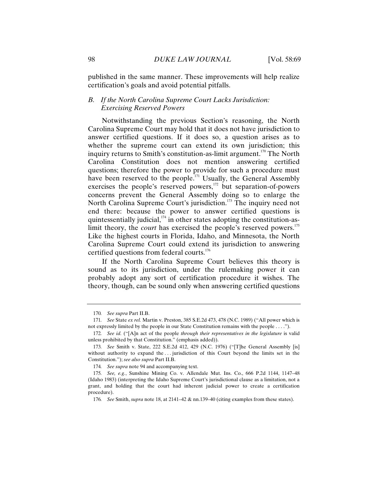published in the same manner. These improvements will help realize certification's goals and avoid potential pitfalls.

### *B. If the North Carolina Supreme Court Lacks Jurisdiction: Exercising Reserved Powers*

Notwithstanding the previous Section's reasoning, the North Carolina Supreme Court may hold that it does not have jurisdiction to answer certified questions. If it does so, a question arises as to whether the supreme court can extend its own jurisdiction; this inquiry returns to Smith's constitution-as-limit argument.<sup>170</sup> The North Carolina Constitution does not mention answering certified questions; therefore the power to provide for such a procedure must have been reserved to the people.<sup>171</sup> Usually, the General Assembly exercises the people's reserved powers, $172$  but separation-of-powers concerns prevent the General Assembly doing so to enlarge the North Carolina Supreme Court's jurisdiction.<sup>173</sup> The inquiry need not end there: because the power to answer certified questions is quintessentially judicial, $174$  in other states adopting the constitution-aslimit theory, the *court* has exercised the people's reserved powers.<sup>175</sup> Like the highest courts in Florida, Idaho, and Minnesota, the North Carolina Supreme Court could extend its jurisdiction to answering certified questions from federal courts.<sup>176</sup>

If the North Carolina Supreme Court believes this theory is sound as to its jurisdiction, under the rulemaking power it can probably adopt any sort of certification procedure it wishes. The theory, though, can be sound only when answering certified questions

<sup>170</sup>*. See supra* Part II.B.

<sup>171</sup>*. See* State *ex rel.* Martin v. Preston, 385 S.E.2d 473, 478 (N.C. 1989) ("All power which is not expressly limited by the people in our State Constitution remains with the people . . . .").

<sup>172</sup>*. See id.* ("[A]n act of the people *through their representatives in the legislature* is valid unless prohibited by that Constitution." (emphasis added)).

<sup>173</sup>*. See* Smith v. State, 222 S.E.2d 412, 429 (N.C. 1976) ("[T]he General Assembly [is] without authority to expand the ... jurisdiction of this Court beyond the limits set in the Constitution."); *see also supra* Part II.B.

<sup>174</sup>*. See supra* note 94 and accompanying text.

<sup>175</sup>*. See, e.g.*, Sunshine Mining Co. v. Allendale Mut. Ins. Co., 666 P.2d 1144, 1147–48 (Idaho 1983) (interpreting the Idaho Supreme Court's jurisdictional clause as a limitation, not a grant, and holding that the court had inherent judicial power to create a certification procedure).

<sup>176</sup>*. See* Smith, *supra* note 18, at 2141–42 & nn.139–40 (citing examples from these states).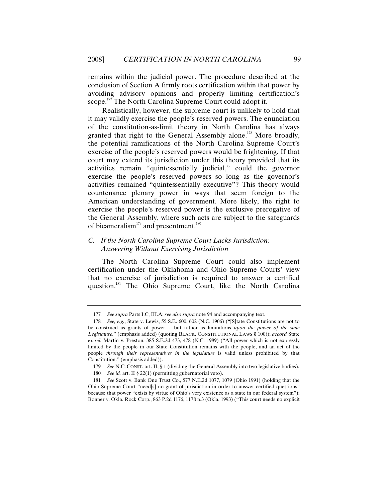remains within the judicial power. The procedure described at the conclusion of Section A firmly roots certification within that power by avoiding advisory opinions and properly limiting certification's scope.<sup>177</sup> The North Carolina Supreme Court could adopt it.

Realistically, however, the supreme court is unlikely to hold that it may validly exercise the people's reserved powers. The enunciation of the constitution-as-limit theory in North Carolina has always granted that right to the General Assembly alone.<sup>178</sup> More broadly, the potential ramifications of the North Carolina Supreme Court's exercise of the people's reserved powers would be frightening. If that court may extend its jurisdiction under this theory provided that its activities remain "quintessentially judicial," could the governor exercise the people's reserved powers so long as the governor's activities remained "quintessentially executive"? This theory would countenance plenary power in ways that seem foreign to the American understanding of government. More likely, the right to exercise the people's reserved power is the exclusive prerogative of the General Assembly, where such acts are subject to the safeguards of bicameralism<sup>179</sup> and presentment.<sup>180</sup>

# *C. If the North Carolina Supreme Court Lacks Jurisdiction: Answering Without Exercising Jurisdiction*

The North Carolina Supreme Court could also implement certification under the Oklahoma and Ohio Supreme Courts' view that no exercise of jurisdiction is required to answer a certified question.<sup>181</sup> The Ohio Supreme Court, like the North Carolina

<sup>177</sup>*. See supra* Parts I.C, III.A; *see also supra* note 94 and accompanying text.

<sup>178</sup>*. See, e.g.*, State v. Lewis, 55 S.E. 600, 602 (N.C. 1906) ("[S]tate Constitutions are not to be construed as grants of power . . . but rather as limitations *upon the power of the state Legislature*." (emphasis added) (quoting BLACK, CONSTITUTIONAL LAWS § 100)); *accord* State *ex rel.* Martin v. Preston, 385 S.E.2d 473, 478 (N.C. 1989) ("All power which is not expressly limited by the people in our State Constitution remains with the people, and an act of the people *through their representatives in the legislature* is valid unless prohibited by that Constitution." (emphasis added)).

<sup>179</sup>*. See* N.C. CONST. art. II, § 1 (dividing the General Assembly into two legislative bodies).

<sup>180</sup>*. See id.* art. II § 22(1) (permitting gubernatorial veto).

<sup>181</sup>*. See* Scott v. Bank One Trust Co., 577 N.E.2d 1077, 1079 (Ohio 1991) (holding that the Ohio Supreme Court "need[s] no grant of jurisdiction in order to answer certified questions" because that power "exists by virtue of Ohio's very existence as a state in our federal system"); Bonner v. Okla. Rock Corp., 863 P.2d 1176, 1178 n.3 (Okla. 1993) ("This court needs no explicit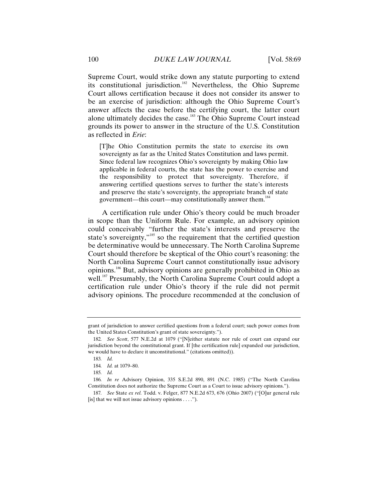Supreme Court, would strike down any statute purporting to extend its constitutional jurisdiction.182 Nevertheless, the Ohio Supreme Court allows certification because it does not consider its answer to be an exercise of jurisdiction: although the Ohio Supreme Court's answer affects the case before the certifying court, the latter court alone ultimately decides the case.<sup>183</sup> The Ohio Supreme Court instead grounds its power to answer in the structure of the U.S. Constitution as reflected in *Erie*:

[T]he Ohio Constitution permits the state to exercise its own sovereignty as far as the United States Constitution and laws permit. Since federal law recognizes Ohio's sovereignty by making Ohio law applicable in federal courts, the state has the power to exercise and the responsibility to protect that sovereignty. Therefore, if answering certified questions serves to further the state's interests and preserve the state's sovereignty, the appropriate branch of state government—this court—may constitutionally answer them.<sup>184</sup>

A certification rule under Ohio's theory could be much broader in scope than the Uniform Rule. For example, an advisory opinion could conceivably "further the state's interests and preserve the state's sovereignty,"<sup>185</sup> so the requirement that the certified question be determinative would be unnecessary. The North Carolina Supreme Court should therefore be skeptical of the Ohio court's reasoning: the North Carolina Supreme Court cannot constitutionally issue advisory opinions.186 But, advisory opinions are generally prohibited in Ohio as well.<sup>187</sup> Presumably, the North Carolina Supreme Court could adopt a certification rule under Ohio's theory if the rule did not permit advisory opinions. The procedure recommended at the conclusion of

grant of jurisdiction to answer certified questions from a federal court; such power comes from the United States Constitution's grant of state sovereignty.").

<sup>182</sup>*. See Scott*, 577 N.E.2d at 1079 ("[N]either statute nor rule of court can expand our jurisdiction beyond the constitutional grant. If [the certification rule] expanded our jurisdiction, we would have to declare it unconstitutional." (citations omitted)).

<sup>183</sup>*. Id.*

<sup>184</sup>*. Id.* at 1079–80.

<sup>185</sup>*. Id.*

<sup>186</sup>*. In re* Advisory Opinion, 335 S.E.2d 890, 891 (N.C. 1985) ("The North Carolina Constitution does not authorize the Supreme Court as a Court to issue advisory opinions.").

<sup>187</sup>*. See* State *ex rel.* Todd. v. Felger, 877 N.E.2d 673, 676 (Ohio 2007) ("[O]ur general rule [is] that we will not issue advisory opinions . . . .").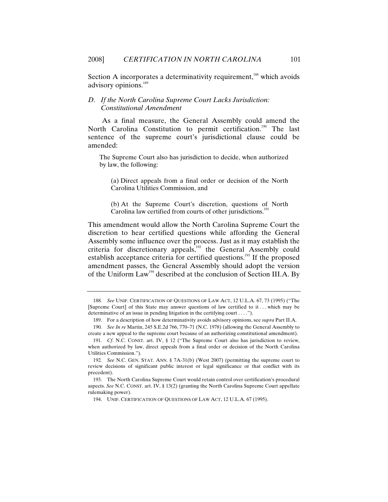Section A incorporates a determinativity requirement,<sup>188</sup> which avoids advisory opinions.<sup>189</sup>

### *D. If the North Carolina Supreme Court Lacks Jurisdiction: Constitutional Amendment*

As a final measure, the General Assembly could amend the North Carolina Constitution to permit certification.<sup>190</sup> The last sentence of the supreme court's jurisdictional clause could be amended:

The Supreme Court also has jurisdiction to decide, when authorized by law, the following:

(a) Direct appeals from a final order or decision of the North Carolina Utilities Commission, and

(b) At the Supreme Court's discretion, questions of North Carolina law certified from courts of other jurisdictions.<sup>1</sup>

This amendment would allow the North Carolina Supreme Court the discretion to hear certified questions while affording the General Assembly some influence over the process. Just as it may establish the criteria for discretionary appeals,<sup>192</sup> the General Assembly could establish acceptance criteria for certified questions.<sup>193</sup> If the proposed amendment passes, the General Assembly should adopt the version of the Uniform Law<sup>194</sup> described at the conclusion of Section III.A. By

<sup>188</sup>*. See* UNIF. CERTIFICATION OF QUESTIONS OF LAW ACT, 12 U.L.A. 67, 73 (1995) ("The [Supreme Court] of this State may answer questions of law certified to it . . . which may be determinative of an issue in pending litigation in the certifying court . . . .").

 <sup>189.</sup> For a description of how determinativity avoids advisory opinions, see *supra* Part II.A.

<sup>190</sup>*. See In re* Martin, 245 S.E.2d 766, 770–71 (N.C. 1978) (allowing the General Assembly to create a new appeal to the supreme court because of an authorizing constitutional amendment).

<sup>191</sup>*. Cf*. N.C. CONST. art. IV, § 12 ("The Supreme Court also has jurisdiction to review, when authorized by law, direct appeals from a final order or decision of the North Carolina Utilities Commission.").

<sup>192</sup>*. See* N.C. GEN. STAT. ANN. § 7A-31(b) (West 2007) (permitting the supreme court to review decisions of significant public interest or legal significance or that conflict with its precedent).

 <sup>193.</sup> The North Carolina Supreme Court would retain control over certification's procedural aspects. *See* N.C. CONST. art. IV, § 13(2) (granting the North Carolina Supreme Court appellate rulemaking power).

 <sup>194.</sup> UNIF. CERTIFICATION OF QUESTIONS OF LAW ACT, 12 U.L.A. 67 (1995).